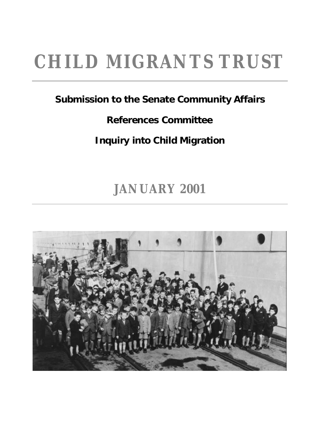## **CHILD MIGRANTS TRUST**

#### **Submission to the Senate Community Affairs**

#### **References Committee**

#### **Inquiry into Child Migration**

## **JANUARY 2001**

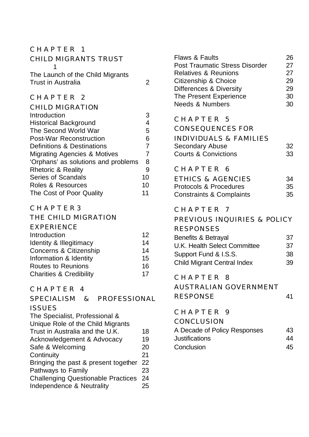#### CHAPTER 1

| <b>CHILD MIGRANTS TRUST</b><br>1        |                |
|-----------------------------------------|----------------|
| The Launch of the Child Migrants        |                |
| <b>Trust in Australia</b>               | 2              |
| CHAPTER 2                               |                |
| <b>CHILD MIGRATION</b>                  |                |
| Introduction                            | 3              |
| <b>Historical Background</b>            | 4              |
| The Second World War                    | 5              |
| <b>Post-War Reconstruction</b>          | 6              |
| <b>Definitions &amp; Destinations</b>   | $\overline{7}$ |
| <b>Migrating Agencies &amp; Motives</b> | 7              |
| 'Orphans' as solutions and problems     | 8              |
| <b>Rhetoric &amp; Reality</b>           | 9              |
| <b>Series of Scandals</b>               | 10             |
| Roles & Resources                       | 10             |
| The Cost of Poor Quality                | 11             |
| C I I A D T                             |                |

#### CHAPTER3

#### THE CHILD MIGRATION

| 12 |
|----|
| 14 |
| 14 |
| 15 |
| 16 |
| 17 |
|    |

#### CHAPTER 4

| <b>SPECIALISM</b>                            | $\mathcal{R}_{\mathbf{z}}$ | PROFESSIONAL |    | ĸ |
|----------------------------------------------|----------------------------|--------------|----|---|
| <b>ISSUES</b>                                |                            |              |    |   |
| The Specialist, Professional &               |                            |              |    | C |
| Unique Role of the Child Migrants            |                            |              |    | C |
| Trust in Australia and the U.K.              |                            |              | 18 | А |
| Acknowledgement & Advocacy                   |                            |              | 19 | J |
| Safe & Welcoming                             |                            |              | 20 | C |
| Continuity                                   |                            |              | 21 |   |
| Bringing the past & present together         |                            |              | 22 |   |
| Pathways to Family                           |                            |              | 23 |   |
| <b>Challenging Questionable Practices 24</b> |                            |              |    |   |
| Independence & Neutrality                    |                            |              | 25 |   |
|                                              |                            |              |    |   |

| <b>Flaws &amp; Faults</b><br><b>Post Traumatic Stress Disorder</b><br><b>Relatives &amp; Reunions</b><br>Citizenship & Choice<br><b>Differences &amp; Diversity</b><br>The Present Experience<br><b>Needs &amp; Numbers</b> | 26<br>27<br>27<br>29<br>29<br>30<br>30 |
|-----------------------------------------------------------------------------------------------------------------------------------------------------------------------------------------------------------------------------|----------------------------------------|
| CHAPTER 5<br><b>CONSEQUENCES FOR</b><br><b>INDIVIDUALS &amp; FAMILIES</b><br><b>Secondary Abuse</b><br><b>Courts &amp; Convictions</b>                                                                                      | 32<br>33                               |
| CHAPTER 6<br><b>ETHICS &amp; AGENCIES</b><br><b>Protocols &amp; Procedures</b><br><b>Constraints &amp; Complaints</b>                                                                                                       | 34<br>35<br>35                         |
| CHAPTER 7<br>PREVIOUS INQUIRIES & POLICY<br><b>RESPONSES</b><br>Benefits & Betrayal<br>U.K. Health Select Committee<br>Support Fund & I.S.S.<br><b>Child Migrant Central Index</b>                                          | 37<br>37<br>38<br>39                   |
| CHAPTER 8<br><b>AUSTRALIAN GOVERNMENT</b><br><b>RESPONSE</b>                                                                                                                                                                | 41                                     |
| CHAPTER 9<br><b>CONCLUSION</b><br>A Decade of Policy Responses<br><b>Justifications</b><br>Conclusion                                                                                                                       | 43<br>44<br>45                         |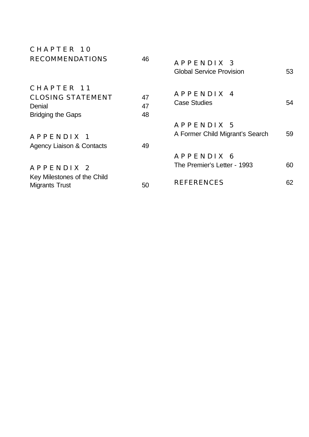| CHAPTER 10                                                                   |                |                                               |    |
|------------------------------------------------------------------------------|----------------|-----------------------------------------------|----|
| <b>RECOMMENDATIONS</b>                                                       | 46             | APPENDIX 3<br><b>Global Service Provision</b> | 53 |
| CHAPTER 11<br><b>CLOSING STATEMENT</b><br>Denial<br><b>Bridging the Gaps</b> | 47<br>47<br>48 | APPENDIX 4<br><b>Case Studies</b>             | 54 |
| APPENDIX 1<br><b>Agency Liaison &amp; Contacts</b>                           | 49             | APPENDIX 5<br>A Former Child Migrant's Search | 59 |
| APPENDIX 2                                                                   |                | APPENDIX 6<br>The Premier's Letter - 1993     | 60 |
| Key Milestones of the Child<br><b>Migrants Trust</b>                         | 50             | <b>REFERENCES</b>                             | 62 |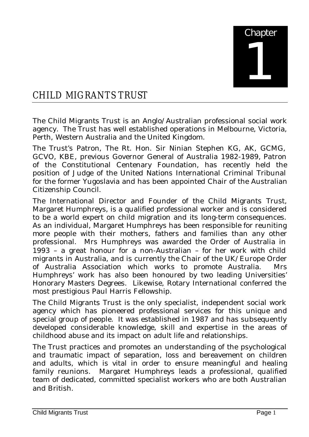

#### CHILD MIGRANTS TRUST

The Child Migrants Trust is an Anglo/Australian professional social work agency. The Trust has well established operations in Melbourne, Victoria, Perth, Western Australia and the United Kingdom.

The Trust's Patron, The Rt. Hon. Sir Ninian Stephen KG, AK, GCMG, GCVO, KBE, previous Governor General of Australia 1982-1989, Patron of the Constitutional Centenary Foundation, has recently held the position of Judge of the United Nations International Criminal Tribunal for the former Yugoslavia and has been appointed Chair of the Australian Citizenship Council.

The International Director and Founder of the Child Migrants Trust, Margaret Humphreys, is a qualified professional worker and is considered to be a world expert on child migration and its long-term consequences. As an individual, Margaret Humphreys has been responsible for reuniting more people with their mothers, fathers and families than any other professional. Mrs Humphreys was awarded the Order of Australia in 1993 – a great honour for a non-Australian – for her work with child migrants in Australia, and is currently the Chair of the UK/Europe Order of Australia Association which works to promote Australia. Mrs Humphreys' work has also been honoured by two leading Universities' Honorary Masters Degrees. Likewise, Rotary International conferred the most prestigious Paul Harris Fellowship.

The Child Migrants Trust is the only specialist, independent social work agency which has pioneered professional services for this unique and special group of people. It was established in 1987 and has subsequently developed considerable knowledge, skill and expertise in the areas of childhood abuse and its impact on adult life and relationships.

The Trust practices and promotes an understanding of the psychological and traumatic impact of separation, loss and bereavement on children and adults, which is vital in order to ensure meaningful and healing family reunions. Margaret Humphreys leads a professional, qualified team of dedicated, committed specialist workers who are both Australian and British.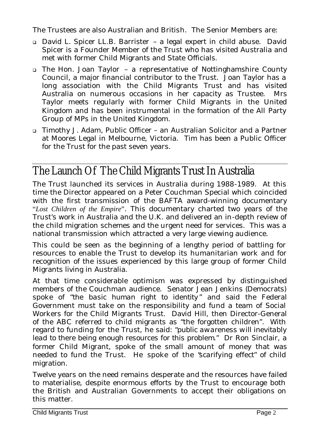The Trustees are also Australian and British. The Senior Members are:

- <sup>q</sup> David L. Spicer LL.B. Barrister a legal expert in child abuse. David Spicer is a Founder Member of the Trust who has visited Australia and met with former Child Migrants and State Officials.
- <sup>q</sup> The Hon. Joan Taylor a representative of Nottinghamshire County Council, a major financial contributor to the Trust. Joan Taylor has a long association with the Child Migrants Trust and has visited Australia on numerous occasions in her capacity as Trustee. Mrs Taylor meets regularly with former Child Migrants in the United Kingdom and has been instrumental in the formation of the All Party Group of MPs in the United Kingdom.
- <sup>q</sup> Timothy J. Adam, Public Officer an Australian Solicitor and a Partner at Moores Legal in Melbourne, Victoria. Tim has been a Public Officer for the Trust for the past seven years.

#### The Launch Of The Child Migrants Trust In Australia

The Trust launched its services in Australia during 1988-1989. At this time the Director appeared on a Peter Couchman Special which coincided with the first transmission of the BAFTA award-winning documentary "*Lost Children of the Empire*". This documentary charted two years of the Trust's work in Australia and the U.K. and delivered an in-depth review of the child migration schemes and the urgent need for services. This was a national transmission which attracted a very large viewing audience.

This could be seen as the beginning of a lengthy period of battling for resources to enable the Trust to develop its humanitarian work and for recognition of the issues experienced by this large group of former Child Migrants living in Australia.

At that time considerable optimism was expressed by distinguished members of the Couchman audience. Senator Jean Jenkins (Democrats) spoke of "*the basic human right to identity*" and said the Federal Government must take on the responsibility and fund a team of Social Workers for the Child Migrants Trust. David Hill, then Director-General of the ABC referred to child migrants as "the forgotten children". With regard to funding for the Trust, he said: "*public awareness will inevitably lead to there being enough resources for this problem*." Dr Ron Sinclair, a former Child Migrant, spoke of the small amount of money that was needed to fund the Trust. He spoke of the "*scarifying effect*" of child migration.

Twelve years on the need remains desperate and the resources have failed to materialise, despite enormous efforts by the Trust to encourage both the British and Australian Governments to accept their obligations on this matter.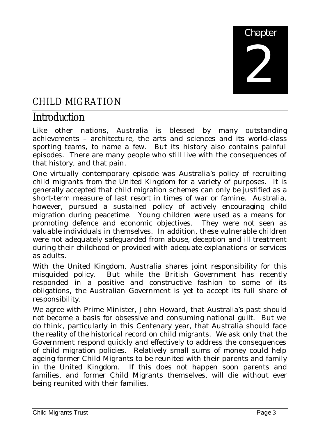

#### CHILD MIGRATION

#### Introduction

Like other nations, Australia is blessed by many outstanding achievements – architecture, the arts and sciences and its world-class sporting teams, to name a few. But its history also contains painful episodes. There are many people who still live with the consequences of that history, and that pain.

One virtually contemporary episode was Australia's policy of recruiting child migrants from the United Kingdom for a variety of purposes. It is generally accepted that child migration schemes can only be justified as a short-term measure of last resort in times of war or famine. Australia, however, pursued a sustained policy of actively encouraging child migration during peacetime. Young children were used as a means for promoting defence and economic objectives. They were not seen as valuable individuals in themselves. In addition, these vulnerable children were not adequately safeguarded from abuse, deception and ill treatment during their childhood or provided with adequate explanations or services as adults.

With the United Kingdom, Australia shares joint responsibility for this misguided policy. But while the British Government has recently responded in a positive and constructive fashion to some of its obligations, the Australian Government is yet to accept its full share of responsibility.

We agree with Prime Minister, John Howard, that Australia's past should not become a basis for obsessive and consuming national guilt. But we do think, particularly in this Centenary year, that Australia should face the reality of the historical record on child migrants. We ask only that the Government respond quickly and effectively to address the consequences of child migration policies. Relatively small sums of money could help ageing former Child Migrants to be reunited with their parents and family in the United Kingdom. If this does not happen soon parents and families, and former Child Migrants themselves, will die without ever being reunited with their families.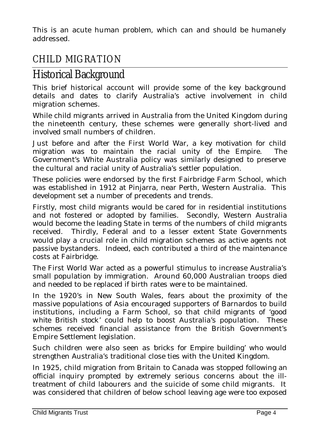This is an acute human problem, which can and should be humanely addressed.

#### CHILD MIGRATION

#### Historical Background

This brief historical account will provide some of the key background details and dates to clarify Australia's active involvement in child migration schemes.

While child migrants arrived in Australia from the United Kingdom during the nineteenth century, these schemes were generally short-lived and involved small numbers of children.

Just before and after the First World War, a key motivation for child migration was to maintain the racial unity of the Empire. The Government's White Australia policy was similarly designed to preserve the cultural and racial unity of Australia's settler population.

These policies were endorsed by the first Fairbridge Farm School, which was established in 1912 at Pinjarra, near Perth, Western Australia. This development set a number of precedents and trends.

Firstly, most child migrants would be cared for in residential institutions and not fostered or adopted by families. Secondly, Western Australia would become the leading State in terms of the numbers of child migrants received. Thirdly, Federal and to a lesser extent State Governments would play a crucial role in child migration schemes as active agents not passive bystanders. Indeed, each contributed a third of the maintenance costs at Fairbridge.

The First World War acted as a powerful stimulus to increase Australia's small population by immigration. Around 60,000 Australian troops died and needed to be replaced if birth rates were to be maintained.

In the 1920's in New South Wales, fears about the proximity of the massive populations of Asia encouraged supporters of Barnardos to build institutions, including a Farm School, so that child migrants of '*good white British stock*' could help to boost Australia's population. These schemes received financial assistance from the British Government's Empire Settlement legislation.

Such children were also seen as '*bricks for Empire building*' who would strengthen Australia's traditional close ties with the United Kingdom.

In 1925, child migration from Britain to Canada was stopped following an official inquiry prompted by extremely serious concerns about the illtreatment of child labourers and the suicide of some child migrants. It was considered that children of below school leaving age were too exposed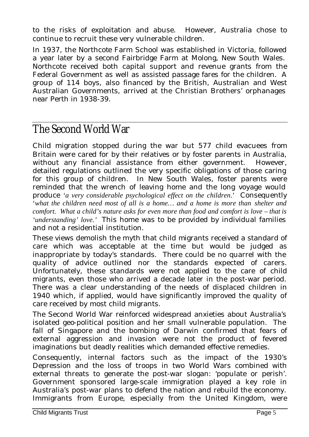to the risks of exploitation and abuse. However, Australia chose to continue to recruit these very vulnerable children.

In 1937, the Northcote Farm School was established in Victoria, followed a year later by a second Fairbridge Farm at Molong, New South Wales. Northcote received both capital support and revenue grants from the Federal Government as well as assisted passage fares for the children. A group of 114 boys, also financed by the British, Australian and West Australian Governments, arrived at the Christian Brothers' orphanages near Perth in 1938-39.

#### The Second World War

Child migration stopped during the war but 577 child evacuees from Britain were cared for by their relatives or by foster parents in Australia, without any financial assistance from either government. However, detailed regulations outlined the very specific obligations of those caring for this group of children. In New South Wales, foster parents were reminded that the wrench of leaving home and the long voyage would produce *'a very considerable psychological effect on the children*.' Consequently '*what the children need most of all is a home… and a home is more than shelter and comfort. What a child's nature asks for even more than food and comfort is love – that is 'understanding' love.'* This home was to be provided by individual families and not a residential institution.

These views demolish the myth that child migrants received a standard of care which was acceptable at the time but would be judged as inappropriate by today's standards. There could be no quarrel with the quality of advice outlined nor the standards expected of carers. Unfortunately, these standards were not applied to the care of child migrants, even those who arrived a decade later in the post-war period. There was a clear understanding of the needs of displaced children in 1940 which, if applied, would have significantly improved the quality of care received by most child migrants.

The Second World War reinforced widespread anxieties about Australia's isolated geo-political position and her small vulnerable population. The fall of Singapore and the bombing of Darwin confirmed that fears of external aggression and invasion were not the product of fevered imaginations but deadly realities which demanded effective remedies.

Consequently, internal factors such as the impact of the 1930's Depression and the loss of troops in two World Wars combined with external threats to generate the post-war slogan: 'populate or perish'. Government sponsored large-scale immigration played a key role in Australia's post-war plans to defend the nation and rebuild the economy. Immigrants from Europe, especially from the United Kingdom, were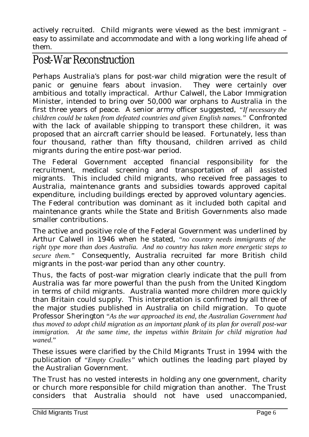actively recruited. Child migrants were viewed as the best immigrant – easy to assimilate and accommodate and with a long working life ahead of them.

#### Post-War Reconstruction

Perhaps Australia's plans for post-war child migration were the result of panic or genuine fears about invasion. They were certainly over ambitious and totally impractical. Arthur Calwell, the Labor Immigration Minister, intended to bring over 50,000 war orphans to Australia in the first three years of peace. A senior army officer suggested, *"If necessary the children could be taken from defeated countries and given English names."* Confronted with the lack of available shipping to transport these children, it was proposed that an aircraft carrier should be leased. Fortunately, less than four thousand, rather than fifty thousand, children arrived as child migrants during the entire post-war period.

The Federal Government accepted financial responsibility for the recruitment, medical screening and transportation of all assisted migrants. This included child migrants, who received free passages to Australia, maintenance grants and subsidies towards approved capital expenditure, including buildings erected by approved voluntary agencies. The Federal contribution was dominant as it included both capital and maintenance grants while the State and British Governments also made smaller contributions.

The active and positive role of the Federal Government was underlined by Arthur Calwell in 1946 when he stated, *"no country needs immigrants of the right type more than does Australia. And no country has taken more energetic steps to secure them."* Consequently, Australia recruited far more British child migrants in the post-war period than any other country.

Thus, the facts of post-war migration clearly indicate that the pull from Australia was far more powerful than the push from the United Kingdom in terms of child migrants. Australia wanted more children more quickly than Britain could supply. This interpretation is confirmed by all three of the major studies published in Australia on child migration. To quote Professor Sherington "*As the war approached its end, the Australian Government had thus moved to adopt child migration as an important plank of its plan for overall post-war immigration. At the same time, the impetus within Britain for child migration had waned.*"

These issues were clarified by the Child Migrants Trust in 1994 with the publication of *"Empty Cradles"* which outlines the leading part played by the Australian Government.

The Trust has no vested interests in holding any one government, charity or church more responsible for child migration than another. The Trust considers that Australia should not have used unaccompanied,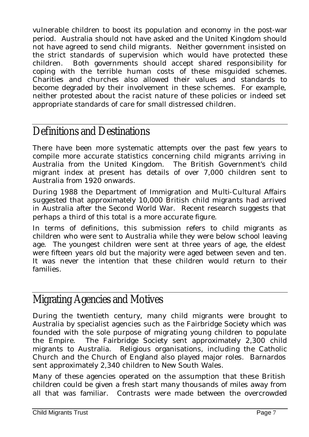vulnerable children to boost its population and economy in the post-war period. Australia should not have asked and the United Kingdom should not have agreed to send child migrants. Neither government insisted on the strict standards of supervision which would have protected these children. Both governments should accept shared responsibility for coping with the terrible human costs of these misguided schemes. Charities and churches also allowed their values and standards to become degraded by their involvement in these schemes. For example, neither protested about the racist nature of these policies or indeed set appropriate standards of care for small distressed children.

#### Definitions and Destinations

There have been more systematic attempts over the past few years to compile more accurate statistics concerning child migrants arriving in Australia from the United Kingdom. The British Government's child migrant index at present has details of over 7,000 children sent to Australia from 1920 onwards.

During 1988 the Department of Immigration and Multi-Cultural Affairs suggested that approximately 10,000 British child migrants had arrived in Australia after the Second World War. Recent research suggests that perhaps a third of this total is a more accurate figure.

In terms of definitions, this submission refers to child migrants as children who were sent to Australia while they were below school leaving age. The youngest children were sent at three years of age, the eldest were fifteen years old but the majority were aged between seven and ten. It was never the intention that these children would return to their families.

#### Migrating Agencies and Motives

During the twentieth century, many child migrants were brought to Australia by specialist agencies such as the Fairbridge Society which was founded with the sole purpose of migrating young children to populate the Empire. The Fairbridge Society sent approximately 2,300 child migrants to Australia. Religious organisations, including the Catholic Church and the Church of England also played major roles. Barnardos sent approximately 2,340 children to New South Wales.

Many of these agencies operated on the assumption that these British children could be given a fresh start many thousands of miles away from all that was familiar. Contrasts were made between the overcrowded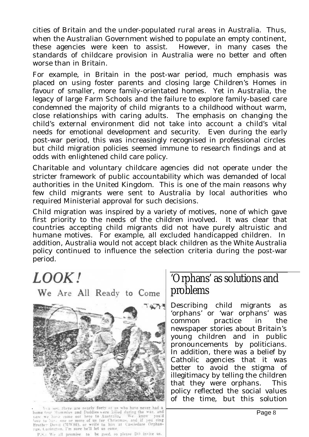cities of Britain and the under-populated rural areas in Australia. Thus, when the Australian Government wished to populate an empty continent, these agencies were keen to assist. However, in many cases the standards of childcare provision in Australia were no better and often worse than in Britain.

For example, in Britain in the post-war period, much emphasis was placed on using foster parents and closing large Children's Homes in favour of smaller, more family-orientated homes. Yet in Australia, the legacy of large Farm Schools and the failure to explore family-based care condemned the majority of child migrants to a childhood without warm, close relationships with caring adults. The emphasis on changing the child's external environment did not take into account a child's vital needs for emotional development and security. Even during the early post-war period, this was increasingly recognised in professional circles but child migration policies seemed immune to research findings and at odds with enlightened child care policy.

Charitable and voluntary childcare agencies did not operate under the stricter framework of public accountability which was demanded of local authorities in the United Kingdom. This is one of the main reasons why few child migrants were sent to Australia by local authorities who required Ministerial approval for such decisions.

Child migration was inspired by a variety of motives, none of which gave first priority to the needs of the children involved. It was clear that countries accepting child migrants did not have purely altruistic and humane motives. For example, all excluded handicapped children. In addition, Australia would not accept black children as the White Australia policy continued to influence the selection criteria during the post-war period.

## LOOK!

We Are All Ready to Come



Next sect there are nearly forty of us who have never had a<br>home tour Mummies and Daddies were killed during the war, and<br>towe to have come out here to Australia, We know you'd<br>live to have one or more of us for Christmas, ege, Canington, I'm sure he'll let us come,

P.S.: We all promise to be good, so please DO invite us.

#### 'Orphans' as solutions and problems

Describing child migrants as 'orphans' or 'war orphans' was common practice in the newspaper stories about Britain's young children and in public pronouncements by politicians. In addition, there was a belief by Catholic agencies that it was better to avoid the stigma of illegitimacy by telling the children that they were orphans. This policy reflected the social values of the time, but this solution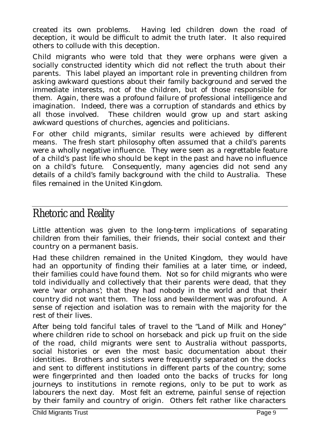created its own problems. Having led children down the road of deception, it would be difficult to admit the truth later. It also required others to collude with this deception.

Child migrants who were told that they were orphans were given a socially constructed identity which did not reflect the truth about their parents. This label played an important role in preventing children from asking awkward questions about their family background and served the immediate interests, not of the children, but of those responsible for them. Again, there was a profound failure of professional intelligence and imagination. Indeed, there was a corruption of standards and ethics by all those involved. These children would grow up and start asking awkward questions of churches, agencies and politicians.

For other child migrants, similar results were achieved by different means. The fresh start philosophy often assumed that a child's parents were a wholly negative influence. They were seen as a regrettable feature of a child's past life who should be kept in the past and have no influence on a child's future. Consequently, many agencies did not send any details of a child's family background with the child to Australia. These files remained in the United Kingdom.

#### Rhetoric and Reality

Little attention was given to the long-term implications of separating children from their families, their friends, their social context and their country on a permanent basis.

Had these children remained in the United Kingdom, they would have had an opportunity of finding their families at a later time, or indeed, their families could have found them. Not so for child migrants who were told individually and collectively that their parents were dead, that they were 'war orphans'; that they had nobody in the world and that their country did not want them. The loss and bewilderment was profound. A sense of rejection and isolation was to remain with the majority for the rest of their lives.

After being told fanciful tales of travel to the "Land of Milk and Honey" where children ride to school on horseback and pick up fruit on the side of the road, child migrants were sent to Australia without passports, social histories or even the most basic documentation about their identities. Brothers and sisters were frequently separated on the docks and sent to different institutions in different parts of the country; some were fingerprinted and then loaded onto the backs of trucks for long journeys to institutions in remote regions, only to be put to work as labourers the next day. Most felt an extreme, painful sense of rejection by their family and country of origin. Others felt rather like characters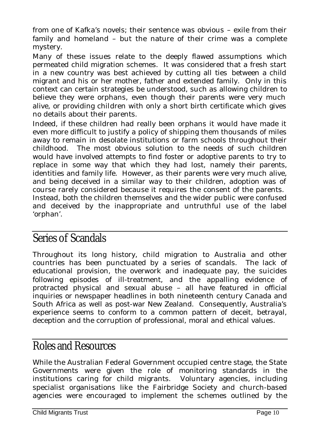from one of Kafka's novels; their sentence was obvious – exile from their family and homeland – but the nature of their crime was a complete mystery.

Many of these issues relate to the deeply flawed assumptions which permeated child migration schemes. It was considered that a fresh start in a new country was best achieved by cutting all ties between a child migrant and his or her mother, father and extended family. Only in this context can certain strategies be understood, such as allowing children to believe they were orphans, even though their parents were very much alive, or providing children with only a short birth certificate which gives no details about their parents.

Indeed, if these children had really been orphans it would have made it even more difficult to justify a policy of shipping them thousands of miles away to remain in desolate institutions or farm schools throughout their childhood. The most obvious solution to the needs of such children would have involved attempts to find foster or adoptive parents to try to replace in some way that which they had lost, namely their parents, identities and family life. However, as their parents were very much alive, and being deceived in a similar way to their children, adoption was of course rarely considered because it requires the consent of the parents. Instead, both the children themselves and the wider public were confused and deceived by the inappropriate and untruthful use of the label 'orphan'.

#### Series of Scandals

Throughout its long history, child migration to Australia and other countries has been punctuated by a series of scandals. The lack of educational provision, the overwork and inadequate pay, the suicides following episodes of ill-treatment, and the appalling evidence of protracted physical and sexual abuse – all have featured in official inquiries or newspaper headlines in both nineteenth century Canada and South Africa as well as post-war New Zealand. Consequently, Australia's experience seems to conform to a common pattern of deceit, betrayal, deception and the corruption of professional, moral and ethical values.

#### Roles and Resources

While the Australian Federal Government occupied centre stage, the State Governments were given the role of monitoring standards in the institutions caring for child migrants. Voluntary agencies, including specialist organisations like the Fairbridge Society and church-based agencies were encouraged to implement the schemes outlined by the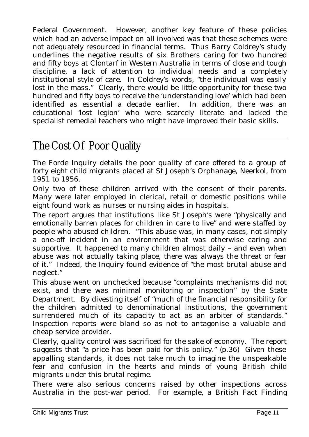Federal Government. However, another key feature of these policies which had an adverse impact on all involved was that these schemes were not adequately resourced in financial terms. Thus Barry Coldrey's study underlines the negative results of six Brothers caring for two hundred and fifty boys at Clontarf in Western Australia in terms of close and tough discipline, a lack of attention to individual needs and a completely institutional style of care. In Coldrey's words, "the individual was easily lost in the mass." Clearly, there would be little opportunity for these two hundred and fifty boys to receive the 'understanding love' which had been identified as essential a decade earlier. In addition, there was an educational 'lost legion' who were scarcely literate and lacked the specialist remedial teachers who might have improved their basic skills.

#### The Cost Of Poor Quality

The Forde Inquiry details the poor quality of care offered to a group of forty eight child migrants placed at St Joseph's Orphanage, Neerkol, from 1951 to 1956.

Only two of these children arrived with the consent of their parents. Many were later employed in clerical, retail  $\alpha$  domestic positions while eight found work as nurses or nursing aides in hospitals.

The report argues that institutions like St Joseph's were "physically and emotionally barren places for children in care to live" and were staffed by people who abused children. "This abuse was, in many cases, not simply a one-off incident in an environment that was otherwise caring and supportive. It happened to many children almost daily – and even when abuse was not actually taking place, there was always the threat or fear of it." Indeed, the Inquiry found evidence of "the most brutal abuse and neglect."

This abuse went on unchecked because "complaints mechanisms did not exist, and there was minimal monitoring or inspection" by the State Department. By divesting itself of "much of the financial responsibility for the children admitted to denominational institutions, the government surrendered much of its capacity to act as an arbiter of standards." Inspection reports were bland so as not to antagonise a valuable and cheap service provider.

Clearly, quality control was sacrificed for the sake of economy. The report suggests that "a price has been paid for this policy." (p.36) Given these appalling standards, it does not take much to imagine the unspeakable fear and confusion in the hearts and minds of young British child migrants under this brutal regime.

There were also serious concerns raised by other inspections across Australia in the post-war period. For example, a British Fact Finding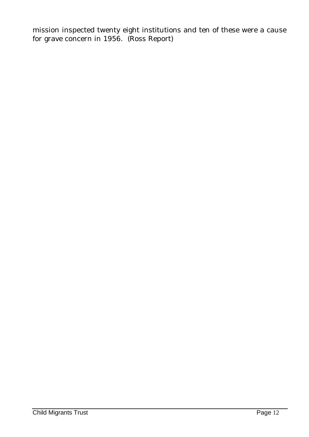mission inspected twenty eight institutions and ten of these were a cause for grave concern in 1956. (Ross Report)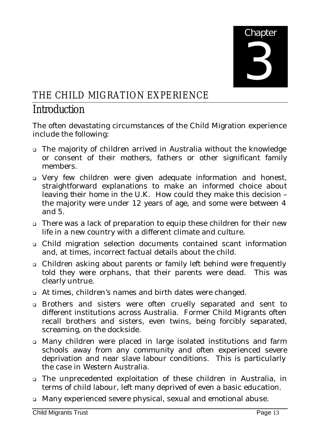

## THE CHILD MIGRATION EXPERIENCE

#### Introduction

The often devastating circumstances of the Child Migration experience include the following:

- <sup>q</sup> The majority of children arrived in Australia without the knowledge or consent of their mothers, fathers or other significant family members.
- <sup>q</sup> Very few children were given adequate information and honest, straightforward explanations to make an informed choice about leaving their home in the U.K. How could they make this decision – the majority were under 12 years of age, and some were between 4 and 5.
- <sup>q</sup> There was a lack of preparation to equip these children for their new life in a new country with a different climate and culture.
- <sup>q</sup> Child migration selection documents contained scant information and, at times, incorrect factual details about the child.
- <sup>q</sup> Children asking about parents or family left behind were frequently told they were orphans, that their parents were dead. This was clearly untrue.
- <sup>q</sup> At times, children's names and birth dates were changed.
- <sup>q</sup> Brothers and sisters were often cruelly separated and sent to different institutions across Australia. Former Child Migrants often recall brothers and sisters, even twins, being forcibly separated, screaming, on the dockside.
- <sup>q</sup> Many children were placed in large isolated institutions and farm schools away from any community and often experienced severe deprivation and near slave labour conditions. This is particularly the case in Western Australia.
- <sup>q</sup> The unprecedented exploitation of these children in Australia, in terms of child labour, left many deprived of even a basic education.
- <sup>q</sup> Many experienced severe physical, sexual and emotional abuse.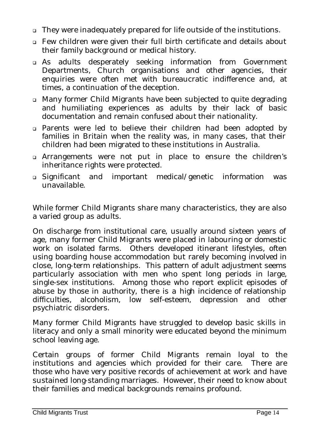- <sup>q</sup> They were inadequately prepared for life outside of the institutions.
- <sup>q</sup> Few children were given their full birth certificate and details about their family background or medical history.
- <sup>q</sup> As adults desperately seeking information from Government Departments, Church organisations and other agencies, their enquiries were often met with bureaucratic indifference and, at times, a continuation of the deception.
- <sup>q</sup> Many former Child Migrants have been subjected to quite degrading and humiliating experiences as adults by their lack of basic documentation and remain confused about their nationality.
- <sup>q</sup> Parents were led to believe their children had been adopted by families in Britain when the reality was, in many cases, that their children had been migrated to these institutions in Australia.
- <sup>q</sup> Arrangements were not put in place to ensure the children's inheritance rights were protected.
- <sup>q</sup> Significant and important medical/genetic information was unavailable.

While former Child Migrants share many characteristics, they are also a varied group as adults.

On discharge from institutional care, usually around sixteen years of age, many former Child Migrants were placed in labouring or domestic work on isolated farms. Others developed itinerant lifestyles, often using boarding house accommodation but rarely becoming involved in close, long-term relationships. This pattern of adult adjustment seems particularly association with men who spent long periods in large, single-sex institutions. Among those who report explicit episodes of abuse by those in authority, there is a high incidence of relationship difficulties, alcoholism, low self-esteem, depression and other psychiatric disorders.

Many former Child Migrants have struggled to develop basic skills in literacy and only a small minority were educated beyond the minimum school leaving age.

Certain groups of former Child Migrants remain loyal to the institutions and agencies which provided for their care. There are those who have very positive records of achievement at work and have sustained long-standing marriages. However, their need to know about their families and medical backgrounds remains profound.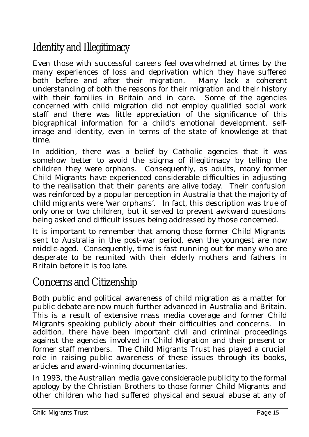### Identity and Illegitimacy

Even those with successful careers feel overwhelmed at times by the many experiences of loss and deprivation which they have suffered both before and after their migration. Many lack a coherent understanding of both the reasons for their migration and their history with their families in Britain and in care. Some of the agencies concerned with child migration did not employ qualified social work staff and there was little appreciation of the significance of this biographical information for a child's emotional development, selfimage and identity, even in terms of the state of knowledge at that time.

In addition, there was a belief by Catholic agencies that it was somehow better to avoid the stigma of illegitimacy by telling the children they were orphans. Consequently, as adults, many former Child Migrants have experienced considerable difficulties in adjusting to the realisation that their parents are alive today. Their confusion was reinforced by a popular perception in Australia that the majority of child migrants were 'war orphans'. In fact, this description was true of only one or two children, but it served to prevent awkward questions being asked and difficult issues being addressed by those concerned.

It is important to remember that among those former Child Migrants sent to Australia in the post-war period, even the youngest are now middle-aged. Consequently, time is fast running out for many who are desperate to be reunited with their elderly mothers and fathers in Britain before it is too late.

#### Concerns and Citizenship

Both public and political awareness of child migration as a matter for public debate are now much further advanced in Australia and Britain. This is a result of extensive mass media coverage and former Child Migrants speaking publicly about their difficulties and concerns. In addition, there have been important civil and criminal proceedings against the agencies involved in Child Migration and their present or former staff members. The Child Migrants Trust has played a crucial role in raising public awareness of these issues through its books, articles and award-winning documentaries.

In 1993, the Australian media gave considerable publicity to the formal apology by the Christian Brothers to those former Child Migrants and other children who had suffered physical and sexual abuse at any of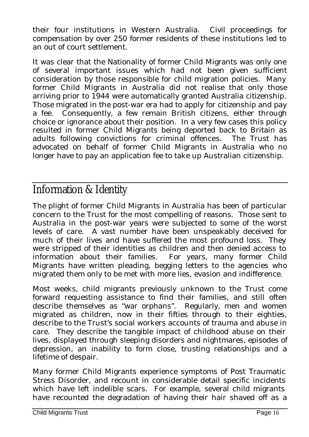their four institutions in Western Australia. Civil proceedings for compensation by over 250 former residents of these institutions led to an out of court settlement.

It was clear that the Nationality of former Child Migrants was only one of several important issues which had not been given sufficient consideration by those responsible for child migration policies. Many former Child Migrants in Australia did not realise that only those arriving prior to 1944 were automatically granted Australia citizenship. Those migrated in the post-war era had to apply for citizenship and pay a fee. Consequently, a few remain British citizens, either through choice or ignorance about their position. In a very few cases this policy resulted in former Child Migrants being deported back to Britain as adults following convictions for criminal offences. The Trust has advocated on behalf of former Child Migrants in Australia who no longer have to pay an application fee to take up Australian citizenship.

#### Information & Identity

The plight of former Child Migrants in Australia has been of particular concern to the Trust for the most compelling of reasons. Those sent to Australia in the post-war years were subjected to some of the worst levels of care. A vast number have been unspeakably deceived for much of their lives and have suffered the most profound loss. They were stripped of their identities as children and then denied access to information about their families. For years, many former Child Migrants have written pleading, begging letters to the agencies who migrated them only to be met with more lies, evasion and indifference.

Most weeks, child migrants previously unknown to the Trust come forward requesting assistance to find their families, and still often describe themselves as "war orphans". Regularly, men and women migrated as children, now in their fifties through to their eighties, describe to the Trust's social workers accounts of trauma and abuse in care. They describe the tangible impact of childhood abuse on their lives, displayed through sleeping disorders and nightmares, episodes of depression, an inability to form close, trusting relationships and a lifetime of despair.

Many former Child Migrants experience symptoms of Post Traumatic Stress Disorder, and recount in considerable detail specific incidents which have left indelible scars. For example, several child migrants have recounted the degradation of having their hair shaved off as a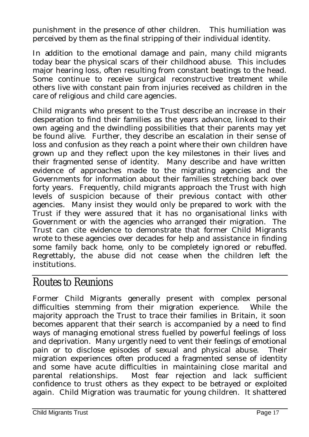punishment in the presence of other children. This humiliation was perceived by them as the final stripping of their individual identity.

In addition to the emotional damage and pain, many child migrants today bear the physical scars of their childhood abuse. This includes major hearing loss, often resulting from constant beatings to the head. Some continue to receive surgical reconstructive treatment while others live with constant pain from injuries received as children in the care of religious and child care agencies.

Child migrants who present to the Trust describe an increase in their desperation to find their families as the years advance, linked to their own ageing and the dwindling possibilities that their parents may yet be found alive. Further, they describe an escalation in their sense of loss and confusion as they reach a point where their own children have grown up and they reflect upon the key milestones in their lives and their fragmented sense of identity. Many describe and have written evidence of approaches made to the migrating agencies and the Governments for information about their families stretching back over forty years. Frequently, child migrants approach the Trust with high levels of suspicion because of their previous contact with other agencies. Many insist they would only be prepared to work with the Trust if they were assured that it has no organisational links with Government or with the agencies who arranged their migration. The Trust can cite evidence to demonstrate that former Child Migrants wrote to these agencies over decades for help and assistance in finding some family back home, only to be completely ignored or rebuffed. Regrettably, the abuse did not cease when the children left the institutions.

#### Routes to Reunions

Former Child Migrants generally present with complex personal difficulties stemming from their migration experience. While the majority approach the Trust to trace their families in Britain, it soon becomes apparent that their search is accompanied by a need to find ways of managing emotional stress fuelled by powerful feelings of loss and deprivation. Many urgently need to vent their feelings of emotional pain or to disclose episodes of sexual and physical abuse. Their migration experiences often produced a fragmented sense of identity and some have acute difficulties in maintaining close marital and parental relationships. Most fear rejection and lack sufficient confidence to trust others as they expect to be betrayed or exploited again. Child Migration was traumatic for young children. It shattered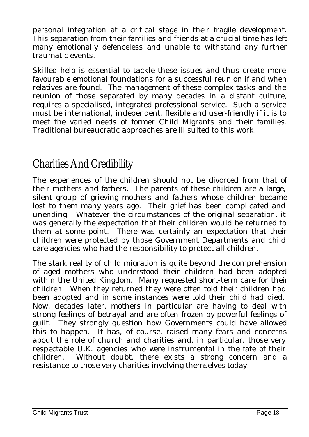personal integration at a critical stage in their fragile development. This separation from their families and friends at a crucial time has left many emotionally defenceless and unable to withstand any further traumatic events.

Skilled help is essential to tackle these issues and thus create more favourable emotional foundations for a successful reunion if and when relatives are found. The management of these complex tasks and the reunion of those separated by many decades in a distant culture, requires a specialised, integrated professional service. Such a service must be international, independent, flexible and user-friendly if it is to meet the varied needs of former Child Migrants and their families. Traditional bureaucratic approaches are ill suited to this work.

#### Charities And Credibility

The experiences of the children should not be divorced from that of their mothers and fathers. The parents of these children are a large, silent group of grieving mothers and fathers whose children became lost to them many years ago. Their grief has been complicated and unending. Whatever the circumstances of the original separation, it was generally the expectation that their children would be returned to them at some point. There was certainly an expectation that their children were protected by those Government Departments and child care agencies who had the responsibility to protect all children.

The stark reality of child migration is quite beyond the comprehension of aged mothers who understood their children had been adopted within the United Kingdom. Many requested short-term care for their children. When they returned they were often told their children had been adopted and in some instances were told their child had died. Now, decades later, mothers in particular are having to deal with strong feelings of betrayal and are often frozen by powerful feelings of guilt. They strongly question how Governments could have allowed this to happen. It has, of course, raised many fears and concerns about the role of church and charities and, in particular, those very respectable U.K. agencies who were instrumental in the fate of their children. Without doubt, there exists a strong concern and a resistance to those very charities involving themselves today.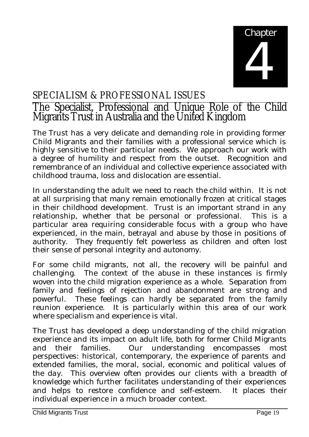

#### SPECIALISM & PROFESSIONAL ISSUES

#### The Specialist, Professional and Unique Role of the Child Migrants Trust in Australia and the United Kingdom

The Trust has a very delicate and demanding role in providing former Child Migrants and their families with a professional service which is highly sensitive to their particular needs. We approach our work with a degree of humility and respect from the outset. Recognition and remembrance of an individual and collective experience associated with childhood trauma, loss and dislocation are essential.

In understanding the adult we need to reach the child within. It is not at all surprising that many remain emotionally frozen at critical stages in their childhood development. Trust is an important strand in any relationship, whether that be personal or professional. This is a particular area requiring considerable focus with a group who have experienced, in the main, betrayal and abuse by those in positions of authority. They frequently felt powerless as children and often lost their sense of personal integrity and autonomy.

For some child migrants, not all, the recovery will be painful and challenging. The context of the abuse in these instances is firmly woven into the child migration experience as a whole. Separation from family and feelings of rejection and abandonment are strong and powerful. These feelings can hardly be separated from the family reunion experience. It is particularly within this area of our work where specialism and experience is vital.

The Trust has developed a deep understanding of the child migration experience and its impact on adult life, both for former Child Migrants and their families. Our understanding encompasses most perspectives: historical, contemporary, the experience of parents and extended families, the moral, social, economic and political values of the day. This overview often provides our clients with a breadth of knowledge which further facilitates understanding of their experiences and helps to restore confidence and self-esteem. It places their individual experience in a much broader context.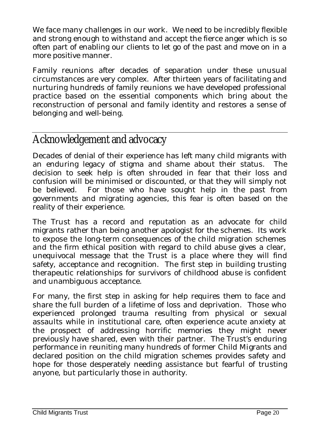We face many challenges in our work. We need to be incredibly flexible and strong enough to withstand and accept the fierce anger which is so often part of enabling our clients to let go of the past and move on in a more positive manner.

Family reunions after decades of separation under these unusual circumstances are very complex. After thirteen years of facilitating and nurturing hundreds of family reunions we have developed professional practice based on the essential components which bring about the reconstruction of personal and family identity and restores a sense of belonging and well-being.

#### Acknowledgement and advocacy

Decades of denial of their experience has left many child migrants with an enduring legacy of stigma and shame about their status. The decision to seek help is often shrouded in fear that their loss and confusion will be minimised or discounted, or that they will simply not be believed. For those who have sought help in the past from governments and migrating agencies, this fear is often based on the reality of their experience.

The Trust has a record and reputation as an advocate for child migrants rather than being another apologist for the schemes. Its work to expose the long-term consequences of the child migration schemes and the firm ethical position with regard to child abuse gives a clear, unequivocal message that the Trust is a place where they will find safety, acceptance and recognition. The first step in building trusting therapeutic relationships for survivors of childhood abuse is confident and unambiguous acceptance.

For many, the first step in asking for help requires them to face and share the full burden of a lifetime of loss and deprivation. Those who experienced prolonged trauma resulting from physical or sexual assaults while in institutional care, often experience acute anxiety at the prospect of addressing horrific memories they might never previously have shared, even with their partner. The Trust's enduring performance in reuniting many hundreds of former Child Migrants and declared position on the child migration schemes provides safety and hope for those desperately needing assistance but fearful of trusting anyone, but particularly those in authority.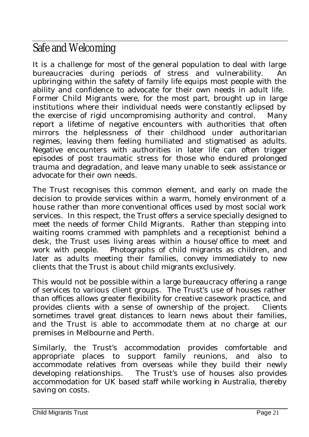### Safe and Welcoming

It is a challenge for most of the general population to deal with large bureaucracies during periods of stress and vulnerability. An upbringing within the safety of family life equips most people with the ability and confidence to advocate for their own needs in adult life. Former Child Migrants were, for the most part, brought up in large institutions where their individual needs were constantly eclipsed by the exercise of rigid uncompromising authority and control. Many report a lifetime of negative encounters with authorities that often mirrors the helplessness of their childhood under authoritarian regimes, leaving them feeling humiliated and stigmatised as adults. Negative encounters with authorities in later life can often trigger episodes of post traumatic stress for those who endured prolonged trauma and degradation, and leave many unable to seek assistance or advocate for their own needs.

The Trust recognises this common element, and early on made the decision to provide services within a warm, homely environment of a house rather than more conventional offices used by most social work services. In this respect, the Trust offers a service specially designed to meet the needs of former Child Migrants. Rather than stepping into waiting rooms crammed with pamphlets and a receptionist behind a desk, the Trust uses living areas within a house/office to meet and work with people. Photographs of child migrants as children, and later as adults meeting their families, convey immediately to new clients that the Trust is about child migrants exclusively.

This would not be possible within a large bureaucracy offering a range of services to various client groups. The Trust's use of houses rather than offices allows greater flexibility for creative casework practice, and provides clients with a sense of ownership of the project. Clients sometimes travel great distances to learn news about their families, and the Trust is able to accommodate them at no charge at our premises in Melbourne and Perth.

Similarly, the Trust's accommodation provides comfortable and appropriate places to support family reunions, and also to accommodate relatives from overseas while they build their newly developing relationships. The Trust's use of houses also provides accommodation for UK based staff while working in Australia, thereby saving on costs.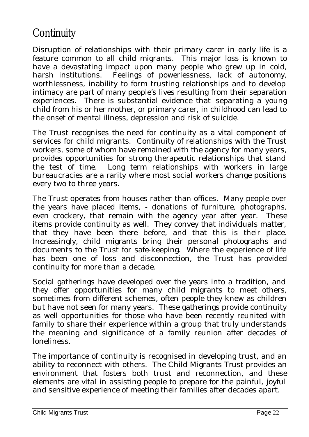#### **Continuity**

Disruption of relationships with their primary carer in early life is a feature common to all child migrants. This major loss is known to have a devastating impact upon many people who grew up in cold, harsh institutions. Feelings of powerlessness, lack of autonomy, worthlessness, inability to form trusting relationships and to develop intimacy are part of many people's lives resulting from their separation experiences. There is substantial evidence that separating a young child from his or her mother, or primary carer, in childhood can lead to the onset of mental illness, depression and risk of suicide.

The Trust recognises the need for continuity as a vital component of services for child migrants. Continuity of relationships with the Trust workers, some of whom have remained with the agency for many years, provides opportunities for strong therapeutic relationships that stand the test of time. Long term relationships with workers in large bureaucracies are a rarity where most social workers change positions every two to three years.

The Trust operates from houses rather than offices. Many people over the years have placed items, - donations of furniture, photographs, even crockery, that remain with the agency year after year. These items provide continuity as well. They convey that individuals matter, that they have been there before, and that this is their place. Increasingly, child migrants bring their personal photographs and documents to the Trust for safe-keeping. Where the experience of life has been one of loss and disconnection, the Trust has provided continuity for more than a decade.

Social gatherings have developed over the years into a tradition, and they offer opportunities for many child migrants to meet others, sometimes from different schemes, often people they knew as children but have not seen for many years. These gatherings provide continuity as well opportunities for those who have been recently reunited with family to share their experience within a group that truly understands the meaning and significance of a family reunion after decades of loneliness.

The importance of continuity is recognised in developing trust, and an ability to reconnect with others. The Child Migrants Trust provides an environment that fosters both trust and reconnection, and these elements are vital in assisting people to prepare for the painful, joyful and sensitive experience of meeting their families after decades apart.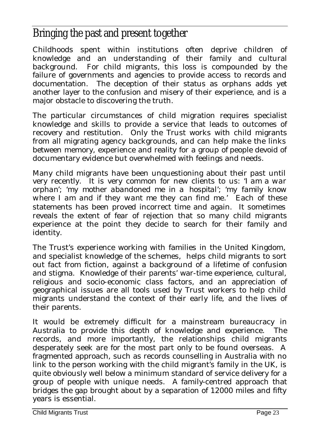### Bringing the past and present together

Childhoods spent within institutions often deprive children of knowledge and an understanding of their family and cultural background. For child migrants, this loss is compounded by the failure of governments and agencies to provide access to records and documentation. The deception of their status as orphans adds yet another layer to the confusion and misery of their experience, and is a major obstacle to discovering the truth.

The particular circumstances of child migration requires specialist knowledge and skills to provide a service that leads to outcomes of recovery and restitution. Only the Trust works with child migrants from all migrating agency backgrounds, and can help make the links between memory, experience and reality for a group of people devoid of documentary evidence but overwhelmed with feelings and needs.

Many child migrants have been unquestioning about their past until very recently. It is very common for new clients to us: '*I am a war orphan*'; '*my mother abandoned me in a hospital*'; '*my family know where I am and if they want me they can find me*.' Each of these statements has been proved incorrect time and again. It sometimes reveals the extent of fear of rejection that so many child migrants experience at the point they decide to search for their family and identity.

The Trust's experience working with families in the United Kingdom, and specialist knowledge of the schemes, helps child migrants to sort out fact from fiction, against a background of a lifetime of confusion and stigma. Knowledge of their parents' war-time experience, cultural, religious and socio-economic class factors, and an appreciation of geographical issues are all tools used by Trust workers to help child migrants understand the context of their early life, and the lives of their parents.

It would be extremely difficult for a mainstream bureaucracy in Australia to provide this depth of knowledge and experience. The records, and more importantly, the relationships child migrants desperately seek are for the most part only to be found overseas. A fragmented approach, such as records counselling in Australia with no link to the person working with the child migrant's family in the UK, is quite obviously well below a minimum standard of service delivery for a group of people with unique needs. A family-centred approach that bridges the gap brought about by a separation of 12000 miles and fifty years is essential.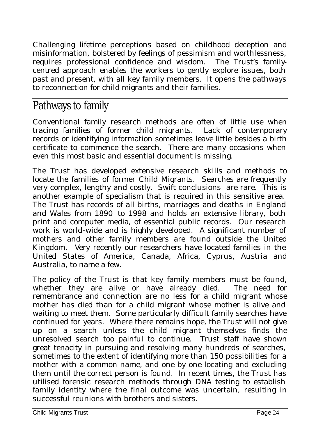Challenging lifetime perceptions based on childhood deception and misinformation, bolstered by feelings of pessimism and worthlessness, requires professional confidence and wisdom. The Trust's familycentred approach enables the workers to gently explore issues, both past and present, with all key family members. It opens the pathways to reconnection for child migrants and their families.

#### Pathways to family

Conventional family research methods are often of little use when tracing families of former child migrants. Lack of contemporary records or identifying information sometimes leave little besides a birth certificate to commence the search. There are many occasions when even this most basic and essential document is missing.

The Trust has developed extensive research skills and methods to locate the families of former Child Migrants. Searches are frequently very complex, lengthy and costly. Swift conclusions are rare. This is another example of specialism that is required in this sensitive area. The Trust has records of all births, marriages and deaths in England and Wales from 1890 to 1998 and holds an extensive library, both print and computer media, of essential public records. Our research work is world-wide and is highly developed. A significant number of mothers and other family members are found outside the United Kingdom. Very recently our researchers have located families in the United States of America, Canada, Africa, Cyprus, Austria and Australia, to name a few.

The policy of the Trust is that key family members must be found, whether they are alive or have already died. The need for remembrance and connection are no less for a child migrant whose mother has died than for a child migrant whose mother is alive and waiting to meet them. Some particularly difficult family searches have continued for years. Where there remains hope, the Trust will not give up on a search unless the child migrant themselves finds the unresolved search too painful to continue. Trust staff have shown great tenacity in pursuing and resolving many hundreds of searches, sometimes to the extent of identifying more than 150 possibilities for a mother with a common name, and one by one locating and excluding them until the correct person is found. In recent times, the Trust has utilised forensic research methods through DNA testing to establish family identity where the final outcome was uncertain, resulting in successful reunions with brothers and sisters.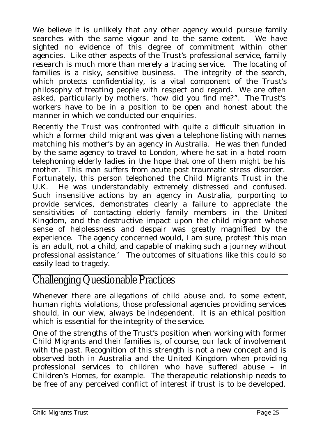We believe it is unlikely that any other agency would pursue family searches with the same vigour and to the same extent. We have sighted no evidence of this degree of commitment within other agencies. Like other aspects of the Trust's professional service, family research is much more than merely a tracing service. The locating of families is a risky, sensitive business. The integrity of the search, which protects confidentiality, is a vital component of the Trust's philosophy of treating people with respect and regard. We are often asked, particularly by mothers, "*how did you find me?*". The Trust's workers have to be in a position to be open and honest about the manner in which we conducted our enquiries.

Recently the Trust was confronted with quite a difficult situation in which a former child migrant was given a telephone listing with names matching his mother's by an agency in Australia. He was then funded by the same agency to travel to London, where he sat in a hotel room telephoning elderly ladies in the hope that one of them might be his mother. This man suffers from acute post traumatic stress disorder. Fortunately, this person telephoned the Child Migrants Trust in the U.K. He was understandably extremely distressed and confused. Such insensitive actions by an agency in Australia, purporting to provide services, demonstrates clearly a failure to appreciate the sensitivities of contacting elderly family members in the United Kingdom, and the destructive impact upon the child migrant whose sense of helplessness and despair was greatly magnified by the experience. The agency concerned would, I am sure, protest 'this man is an adult, not a child, and capable of making such a journey without professional assistance.' The outcomes of situations like this could so easily lead to tragedy.

#### Challenging Questionable Practices

Whenever there are allegations of child abuse and, to some extent, human rights violations, those professional agencies providing services should, in our view, always be independent. It is an ethical position which is essential for the integrity of the service.

One of the strengths of the Trust's position when working with former Child Migrants and their families is, of course, our lack of involvement with the past. Recognition of this strength is not a new concept and is observed both in Australia and the United Kingdom when providing professional services to children who have suffered abuse – in Children's Homes, for example. The therapeutic relationship needs to be free of any perceived conflict of interest if trust is to be developed.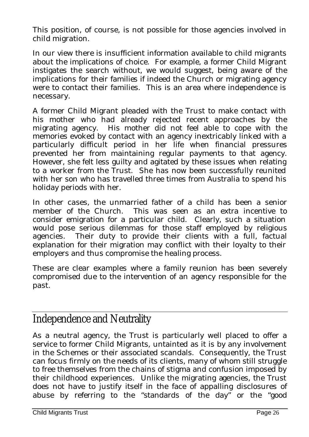This position, of course, is not possible for those agencies involved in child migration.

In our view there is insufficient information available to child migrants about the implications of choice. For example, a former Child Migrant instigates the search without, we would suggest, being aware of the implications for their families if indeed the Church or migrating agency were to contact their families. This is an area where independence is necessary.

A former Child Migrant pleaded with the Trust to make contact with his mother who had already rejected recent approaches by the migrating agency. His mother did not feel able to cope with the memories evoked by contact with an agency inextricably linked with a particularly difficult period in her life when financial pressures prevented her from maintaining regular payments to that agency. However, she felt less guilty and agitated by these issues when relating to a worker from the Trust. She has now been successfully reunited with her son who has travelled three times from Australia to spend his holiday periods with her.

In other cases, the unmarried father of a child has been a senior member of the Church. This was seen as an extra incentive to consider emigration for a particular child. Clearly, such a situation would pose serious dilemmas for those staff employed by religious agencies. Their duty to provide their clients with a full, factual explanation for their migration may conflict with their loyalty to their employers and thus compromise the healing process.

These are clear examples where a family reunion has been severely compromised due to the intervention of an agency responsible for the past.

#### Independence and Neutrality

As a neutral agency, the Trust is particularly well placed to offer a service to former Child Migrants, untainted as it is by any involvement in the Schemes or their associated scandals. Consequently, the Trust can focus firmly on the needs of its clients, many of whom still struggle to free themselves from the chains of stigma and confusion imposed by their childhood experiences. Unlike the migrating agencies, the Trust does not have to justify itself in the face of appalling disclosures of abuse by referring to the "standards of the day" or the "good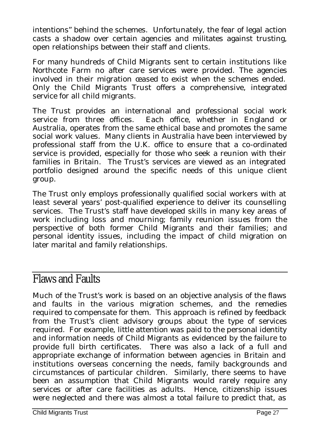intentions" behind the schemes. Unfortunately, the fear of legal action casts a shadow over certain agencies and militates against trusting, open relationships between their staff and clients.

For many hundreds of Child Migrants sent to certain institutions like Northcote Farm no after care services were provided. The agencies involved in their migration ceased to exist when the schemes ended. Only the Child Migrants Trust offers a comprehensive, integrated service for all child migrants.

The Trust provides an international and professional social work service from three offices. Each office, whether in England or Australia, operates from the same ethical base and promotes the same social work values. Many clients in Australia have been interviewed by professional staff from the U.K. office to ensure that a co-ordinated service is provided, especially for those who seek a reunion with their families in Britain. The Trust's services are viewed as an integrated portfolio designed around the specific needs of this unique client group.

The Trust only employs professionally qualified social workers with at least several years' post-qualified experience to deliver its counselling services. The Trust's staff have developed skills in many key areas of work including loss and mourning; family reunion issues from the perspective of both former Child Migrants and their families; and personal identity issues, including the impact of child migration on later marital and family relationships.

#### Flaws and Faults

Much of the Trust's work is based on an objective analysis of the flaws and faults in the various migration schemes, and the remedies required to compensate for them. This approach is refined by feedback from the Trust's client advisory groups about the type of services required. For example, little attention was paid to the personal identity and information needs of Child Migrants as evidenced by the failure to provide full birth certificates. There was also a lack of a full and appropriate exchange of information between agencies in Britain and institutions overseas concerning the needs, family backgrounds and circumstances of particular children. Similarly, there seems to have been an assumption that Child Migrants would rarely require any services or after care facilities as adults. Hence, citizenship issues were neglected and there was almost a total failure to predict that, as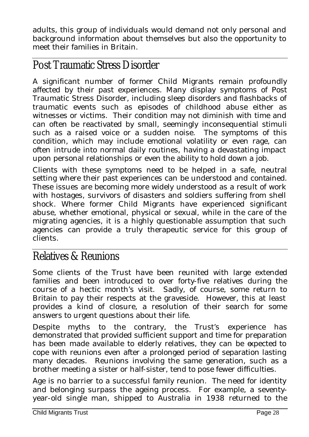adults, this group of individuals would demand not only personal and background information about themselves but also the opportunity to meet their families in Britain.

#### Post Traumatic Stress Disorder

A significant number of former Child Migrants remain profoundly affected by their past experiences. Many display symptoms of Post Traumatic Stress Disorder, including sleep disorders and flashbacks of traumatic events such as episodes of childhood abuse either as witnesses or victims. Their condition may not diminish with time and can often be reactivated by small, seemingly inconsequential stimuli such as a raised voice or a sudden noise. The symptoms of this condition, which may include emotional volatility or even rage, can often intrude into normal daily routines, having a devastating impact upon personal relationships or even the ability to hold down a job.

Clients with these symptoms need to be helped in a safe, neutral setting where their past experiences can be understood and contained. These issues are becoming more widely understood as a result of work with hostages, survivors of disasters and soldiers suffering from shell shock. Where former Child Migrants have experienced significant abuse, whether emotional, physical or sexual, while in the care of the migrating agencies, it is a highly questionable assumption that such agencies can provide a truly therapeutic service for this group of clients.

#### Relatives & Reunions

Some clients of the Trust have been reunited with large extended families and been introduced to over forty-five relatives during the course of a hectic month's visit. Sadly, of course, some return to Britain to pay their respects at the graveside. However, this at least provides a kind of closure, a resolution of their search for some answers to urgent questions about their life.

Despite myths to the contrary, the Trust's experience has demonstrated that provided sufficient support and time for preparation has been made available to elderly relatives, they can be expected to cope with reunions even after a prolonged period of separation lasting many decades. Reunions involving the same generation, such as a brother meeting a sister or half-sister, tend to pose fewer difficulties.

Age is no barrier to a successful family reunion. The need for identity and belonging surpass the ageing process. For example, a seventyyear-old single man, shipped to Australia in 1938 returned to the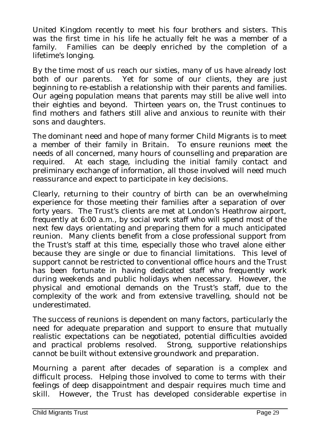United Kingdom recently to meet his four brothers and sisters. This was the first time in his life he actually felt he was a member of a family. Families can be deeply enriched by the completion of a lifetime's longing.

By the time most of us reach our sixties, many of us have already lost both of our parents. Yet for some of our clients, they are just beginning to re-establish a relationship with their parents and families. Our ageing population means that parents may still be alive well into their eighties and beyond. Thirteen years on, the Trust continues to find mothers and fathers still alive and anxious to reunite with their sons and daughters.

The dominant need and hope of many former Child Migrants is to meet a member of their family in Britain. To ensure reunions meet the needs of all concerned, many hours of counselling and preparation are required. At each stage, including the initial family contact and preliminary exchange of information, all those involved will need much reassurance and expect to participate in key decisions.

Clearly, returning to their country of birth can be an overwhelming experience for those meeting their families after a separation of over forty years. The Trust's clients are met at London's Heathrow airport, frequently at 6:00 a.m., by social work staff who will spend most of the next few days orientating and preparing them for a much anticipated reunion. Many clients benefit from a close professional support from the Trust's staff at this time, especially those who travel alone either because they are single or due to financial limitations. This level of support cannot be restricted to conventional office hours and the Trust has been fortunate in having dedicated staff who frequently work during weekends and public holidays when necessary. However, the physical and emotional demands on the Trust's staff, due to the complexity of the work and from extensive travelling, should not be underestimated.

The success of reunions is dependent on many factors, particularly the need for adequate preparation and support to ensure that mutually realistic expectations can be negotiated, potential difficulties avoided and practical problems resolved. Strong, supportive relationships cannot be built without extensive groundwork and preparation.

Mourning a parent after decades of separation is a complex and difficult process. Helping those involved to come to terms with their feelings of deep disappointment and despair requires much time and skill. However, the Trust has developed considerable expertise in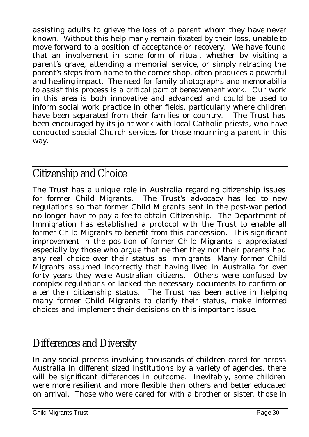assisting adults to grieve the loss of a parent whom they have never known. Without this help many remain fixated by their loss, unable to move forward to a position of acceptance or recovery. We have found that an involvement in some form of ritual, whether by visiting a parent's grave, attending a memorial service, or simply retracing the parent's steps from home to the corner shop, often produces a powerful and healing impact. The need for family photographs and memorabilia to assist this process is a critical part of bereavement work. Our work in this area is both innovative and advanced and could be used to inform social work practice in other fields, particularly where children have been separated from their families or country. The Trust has been encouraged by its joint work with local Catholic priests, who have conducted special Church services for those mourning a parent in this way.

#### Citizenship and Choice

The Trust has a unique role in Australia regarding citizenship issues for former Child Migrants. The Trust's advocacy has led to new regulations so that former Child Migrants sent in the post-war period no longer have to pay a fee to obtain Citizenship. The Department of Immigration has established a protocol with the Trust to enable all former Child Migrants to benefit from this concession. This significant improvement in the position of former Child Migrants is appreciated especially by those who argue that neither they nor their parents had any real choice over their status as immigrants. Many former Child Migrants assumed incorrectly that having lived in Australia for over forty years they were Australian citizens. Others were confused by complex regulations or lacked the necessary documents to confirm or alter their citizenship status. The Trust has been active in helping many former Child Migrants to clarify their status, make informed choices and implement their decisions on this important issue.

### Differences and Diversity

In any social process involving thousands of children cared for across Australia in different sized institutions by a variety of agencies, there will be significant differences in outcome. Inevitably, some children were more resilient and more flexible than others and better educated on arrival. Those who were cared for with a brother or sister, those in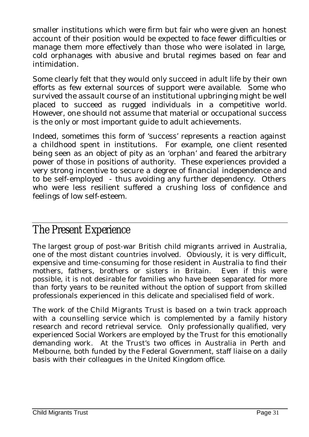smaller institutions which were firm but fair who were given an honest account of their position would be expected to face fewer difficulties or manage them more effectively than those who were isolated in large, cold orphanages with abusive and brutal regimes based on fear and intimidation.

Some clearly felt that they would only succeed in adult life by their own efforts as few external sources of support were available. Some who survived the assault course of an institutional upbringing might be well placed to succeed as rugged individuals in a competitive world. However, one should not assume that material or occupational success is the only or most important guide to adult achievements.

Indeed, sometimes this form of 'success' represents a reaction against a childhood spent in institutions. For example, one client resented being seen as an object of pity as an 'orphan' and feared the arbitrary power of those in positions of authority. These experiences provided a very strong incentive to secure a degree of financial independence and to be self-employed - thus avoiding any further dependency. Others who were less resilient suffered a crushing loss of confidence and feelings of low self-esteem.

#### The Present Experience

The largest group of post-war British child migrants arrived in Australia, one of the most distant countries involved. Obviously, it is very difficult, expensive and time-consuming for those resident in Australia to find their mothers, fathers, brothers or sisters in Britain. Even if this were possible, it is not desirable for families who have been separated for more than forty years to be reunited without the option of support from skilled professionals experienced in this delicate and specialised field of work.

The work of the Child Migrants Trust is based on a twin track approach with a counselling service which is complemented by a family history research and record retrieval service. Only professionally qualified, very experienced Social Workers are employed by the Trust for this emotionally demanding work. At the Trust's two offices in Australia in Perth and Melbourne, both funded by the Federal Government, staff liaise on a daily basis with their colleagues in the United Kingdom office.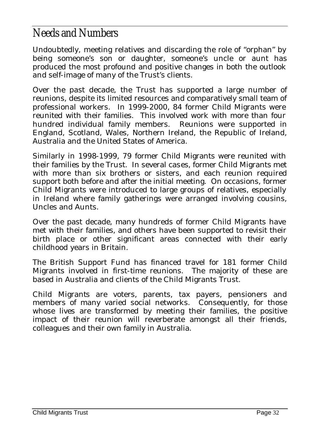#### Needs and Numbers

Undoubtedly, meeting relatives and discarding the role of "orphan" by being someone's son or daughter, someone's uncle or aunt has produced the most profound and positive changes in both the outlook and self-image of many of the Trust's clients.

Over the past decade, the Trust has supported a large number of reunions, despite its limited resources and comparatively small team of professional workers. In 1999-2000, 84 former Child Migrants were reunited with their families. This involved work with more than four hundred individual family members. Reunions were supported in England, Scotland, Wales, Northern Ireland, the Republic of Ireland, Australia and the United States of America.

Similarly in 1998-1999, 79 former Child Migrants were reunited with their families by the Trust. In several cases, former Child Migrants met with more than six brothers or sisters, and each reunion required support both before and after the initial meeting. On occasions, former Child Migrants were introduced to large groups of relatives, especially in Ireland where family gatherings were arranged involving cousins, Uncles and Aunts.

Over the past decade, many hundreds of former Child Migrants have met with their families, and others have been supported to revisit their birth place or other significant areas connected with their early childhood years in Britain.

The British Support Fund has financed travel for 181 former Child Migrants involved in first-time reunions. The majority of these are based in Australia and clients of the Child Migrants Trust.

Child Migrants are voters, parents, tax payers, pensioners and members of many varied social networks. Consequently, for those whose lives are transformed by meeting their families, the positive impact of their reunion will reverberate amongst all their friends, colleagues and their own family in Australia.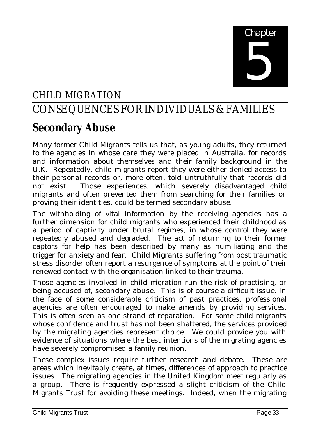# **Chapter** 5

#### CHILD MIGRATION

## CONSEQUENCES FOR INDIVIDUALS & FAMILIES

## **Secondary Abuse**

Many former Child Migrants tells us that, as young adults, they returned to the agencies in whose care they were placed in Australia, for records and information about themselves and their family background in the U.K. Repeatedly, child migrants report they were either denied access to their personal records or, more often, told untruthfully that records did not exist. Those experiences, which severely disadvantaged child migrants and often prevented them from searching for their families or proving their identities, could be termed secondary abuse.

The withholding of vital information by the receiving agencies has a further dimension for child migrants who experienced their childhood as a period of captivity under brutal regimes, in whose control they were repeatedly abused and degraded. The act of returning to their former captors for help has been described by many as humiliating and the trigger for anxiety and fear. Child Migrants suffering from post traumatic stress disorder often report a resurgence of symptoms at the point of their renewed contact with the organisation linked to their trauma.

Those agencies involved in child migration run the risk of practising, or being accused of, secondary abuse. This is of course a difficult issue. In the face of some considerable criticism of past practices, professional agencies are often encouraged to make amends by providing services. This is often seen as one strand of reparation. For some child migrants whose confidence and trust has not been shattered, the services provided by the migrating agencies represent choice. We could provide you with evidence of situations where the best intentions of the migrating agencies have severely compromised a family reunion.

These complex issues require further research and debate. These are areas which inevitably create, at times, differences of approach to practice issues. The migrating agencies in the United Kingdom meet regularly as a group. There is frequently expressed a slight criticism of the Child Migrants Trust for avoiding these meetings. Indeed, when the migrating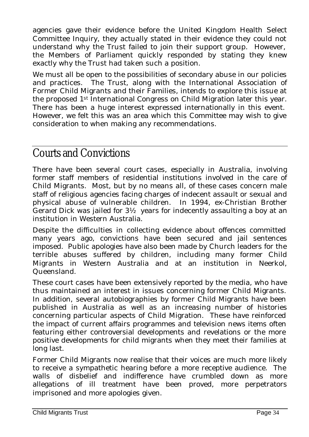agencies gave their evidence before the United Kingdom Health Select Committee Inquiry, they actually stated in their evidence they could not understand why the Trust failed to join their support group. However, the Members of Parliament quickly responded by stating they knew exactly why the Trust had taken such a position.

We must all be open to the possibilities of secondary abuse in our policies and practices. The Trust, along with the International Association of Former Child Migrants and their Families, intends to explore this issue at the proposed 1st International Congress on Child Migration later this year. There has been a huge interest expressed internationally in this event. However, we felt this was an area which this Committee may wish to give consideration to when making any recommendations.

#### Courts and Convictions

There have been several court cases, especially in Australia, involving former staff members of residential institutions involved in the care of Child Migrants. Most, but by no means all, of these cases concern male staff of religious agencies facing charges of indecent assault or sexual and physical abuse of vulnerable children. In 1994, ex-Christian Brother Gerard Dick was jailed for 3½ years for indecently assaulting a boy at an institution in Western Australia.

Despite the difficulties in collecting evidence about offences committed many years ago, convictions have been secured and jail sentences imposed. Public apologies have also been made by Church leaders for the terrible abuses suffered by children, including many former Child Migrants in Western Australia and at an institution in Neerkol, Queensland.

These court cases have been extensively reported by the media, who have thus maintained an interest in issues concerning former Child Migrants. In addition, several autobiographies by former Child Migrants have been published in Australia as well as an increasing number of histories concerning particular aspects of Child Migration. These have reinforced the impact of current affairs programmes and television news items often featuring either controversial developments and revelations or the more positive developments for child migrants when they meet their families at long last.

Former Child Migrants now realise that their voices are much more likely to receive a sympathetic hearing before a more receptive audience. The walls of disbelief and indifference have crumbled down as more allegations of ill treatment have been proved, more perpetrators imprisoned and more apologies given.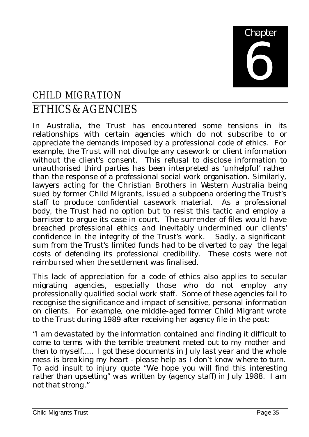

### CHILD MIGRATION ETHICS & AGENCIES

In Australia, the Trust has encountered some tensions in its relationships with certain agencies which do not subscribe to or appreciate the demands imposed by a professional code of ethics. For example, the Trust will not divulge any casework or client information without the client's consent. This refusal to disclose information to unauthorised third parties has been interpreted as 'unhelpful' rather than the response of a professional social work organisation. Similarly, lawyers acting for the Christian Brothers in Western Australia being sued by former Child Migrants, issued a subpoena ordering the Trust's staff to produce confidential casework material. As a professional body, the Trust had no option but to resist this tactic and employ a barrister to argue its case in court. The surrender of files would have breached professional ethics and inevitably undermined our clients' confidence in the integrity of the Trust's work. Sadly, a significant sum from the Trust's limited funds had to be diverted to pay the legal costs of defending its professional credibility. These costs were not reimbursed when the settlement was finalised.

This lack of appreciation for a code of ethics also applies to secular migrating agencies, especially those who do not employ any professionally qualified social work staff. Some of these agencies fail to recognise the significance and impact of sensitive, personal information on clients. For example, one middle-aged former Child Migrant wrote to the Trust during 1989 after receiving her agency file in the post:

"*I am devastated by the information contained and finding it difficult to come to terms with the terrible treatment meted out to my mother and then to myself..... I got these documents in July last year and the whole mess is breaking my heart - please help as I don't know where to turn. To add insult to injury quote "We hope you will find this interesting rather than upsetting" was written by (agency staff) in July 1988. I am not that strong*."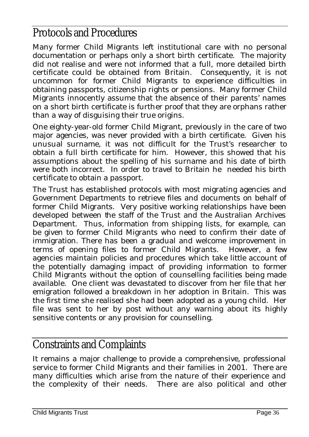#### Protocols and Procedures

Many former Child Migrants left institutional care with no personal documentation or perhaps only a short birth certificate. The majority did not realise and were not informed that a full, more detailed birth certificate could be obtained from Britain. Consequently, it is not uncommon for former Child Migrants to experience difficulties in obtaining passports, citizenship rights or pensions. Many former Child Migrants innocently assume that the absence of their parents' names on a short birth certificate is further proof that they are orphans rather than a way of disguising their true origins.

One eighty-year-old former Child Migrant, previously in the care of two major agencies, was never provided with a birth certificate. Given his unusual surname, it was not difficult for the Trust's researcher to obtain a full birth certificate for him. However, this showed that his assumptions about the spelling of his surname and his date of birth were both incorrect. In order to travel to Britain he needed his birth certificate to obtain a passport.

The Trust has established protocols with most migrating agencies and Government Departments to retrieve files and documents on behalf of former Child Migrants. Very positive working relationships have been developed between the staff of the Trust and the Australian Archives Department. Thus, information from shipping lists, for example, can be given to former Child Migrants who need to confirm their date of immigration. There has been a gradual and welcome improvement in terms of opening files to former Child Migrants. However, a few agencies maintain policies and procedures which take little account of the potentially damaging impact of providing information to former Child Migrants without the option of counselling facilities being made available. One client was devastated to discover from her file that her emigration followed a breakdown in her adoption in Britain. This was the first time she realised she had been adopted as a young child. Her file was sent to her by post without any warning about its highly sensitive contents or any provision for counselling.

#### Constraints and Complaints

It remains a major challenge to provide a comprehensive, professional service to former Child Migrants and their families in 2001. There are many difficulties which arise from the nature of their experience and the complexity of their needs. There are also political and other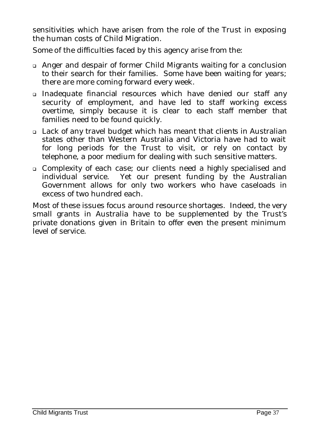sensitivities which have arisen from the role of the Trust in exposing the human costs of Child Migration.

Some of the difficulties faced by this agency arise from the:

- <sup>q</sup> Anger and despair of former Child Migrants waiting for a conclusion to their search for their families. Some have been waiting for years; there are more coming forward every week.
- <sup>q</sup> Inadequate financial resources which have denied our staff any security of employment, and have led to staff working excess overtime, simply because it is clear to each staff member that families need to be found quickly.
- <sup>q</sup> Lack of any travel budget which has meant that clients in Australian states other than Western Australia and Victoria have had to wait for long periods for the Trust to visit, or rely on contact by telephone, a poor medium for dealing with such sensitive matters.
- <sup>q</sup> Complexity of each case; our clients need a highly specialised and individual service. Yet our present funding by the Australian Government allows for only two workers who have caseloads in excess of two hundred each.

Most of these issues focus around resource shortages. Indeed, the very small grants in Australia have to be supplemented by the Trust's private donations given in Britain to offer even the present minimum level of service.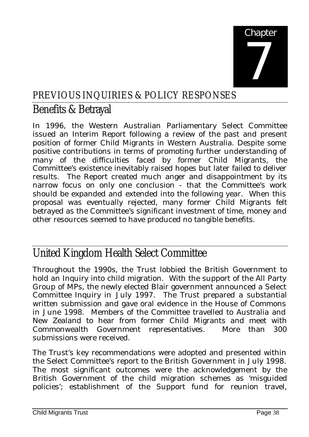

#### PREVIOUS INQUIRIES & POLICY RESPONSES

#### Benefits & Betrayal

In 1996, the Western Australian Parliamentary Select Committee issued an Interim Report following a review of the past and present position of former Child Migrants in Western Australia. Despite some positive contributions in terms of promoting further understanding of many of the difficulties faced by former Child Migrants, the Committee's existence inevitably raised hopes but later failed to deliver results. The Report created much anger and disappointment by its narrow focus on only one conclusion - that the Committee's work should be expanded and extended into the following year. When this proposal was eventually rejected, many former Child Migrants felt betrayed as the Committee's significant investment of time, money and other resources seemed to have produced no tangible benefits.

#### United Kingdom Health Select Committee

Throughout the 1990s, the Trust lobbied the British Government to hold an Inquiry into child migration. With the support of the All Party Group of MPs, the newly elected Blair government announced a Select Committee Inquiry in July 1997. The Trust prepared a substantial written submission and gave oral evidence in the House of Commons in June 1998. Members of the Committee travelled to Australia and New Zealand to hear from former Child Migrants and meet with Commonwealth Government representatives. More than 300 submissions were received.

The Trust's key recommendations were adopted and presented within the Select Committee's report to the British Government in July 1998. The most significant outcomes were the acknowledgement by the British Government of the child migration schemes as 'misguided policies'; establishment of the Support fund for reunion travel,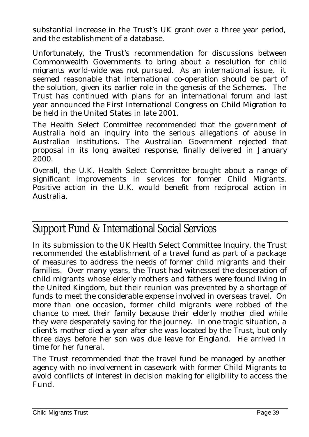substantial increase in the Trust's UK grant over a three year period, and the establishment of a database.

Unfortunately, the Trust's recommendation for discussions between Commonwealth Governments to bring about a resolution for child migrants world-wide was not pursued. As an international issue, it seemed reasonable that international co-operation should be part of the solution, given its earlier role in the genesis of the Schemes. The Trust has continued with plans for an international forum and last year announced the First International Congress on Child Migration to be held in the United States in late 2001.

The Health Select Committee recommended that the government of Australia hold an inquiry into the serious allegations of abuse in Australian institutions. The Australian Government rejected that proposal in its long awaited response, finally delivered in January 2000.

Overall, the U.K. Health Select Committee brought about a range of significant improvements in services for former Child Migrants. Positive action in the U.K. would benefit from reciprocal action in Australia.

#### Support Fund & International Social Services

In its submission to the UK Health Select Committee Inquiry, the Trust recommended the establishment of a travel fund as part of a package of measures to address the needs of former child migrants and their families. Over many years, the Trust had witnessed the desperation of child migrants whose elderly mothers and fathers were found living in the United Kingdom, but their reunion was prevented by a shortage of funds to meet the considerable expense involved in overseas travel. On more than one occasion, former child migrants were robbed of the chance to meet their family because their elderly mother died while they were desperately saving for the journey. In one tragic situation, a client's mother died a year after she was located by the Trust, but only three days before her son was due leave for England. He arrived in time for her funeral.

The Trust recommended that the travel fund be managed by another agency with no involvement in casework with former Child Migrants to avoid conflicts of interest in decision making for eligibility to access the Fund.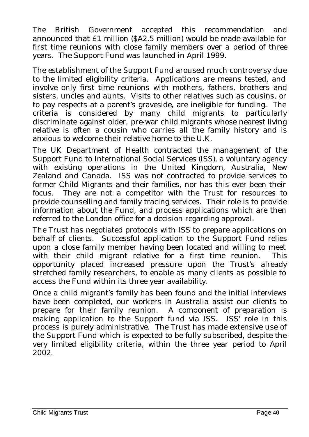The British Government accepted this recommendation and announced that £1 million (\$A2.5 million) would be made available for first time reunions with close family members over a period of three years. The Support Fund was launched in April 1999.

The establishment of the Support Fund aroused much controversy due to the limited eligibility criteria. Applications are means tested, and involve only first time reunions with mothers, fathers, brothers and sisters, uncles and aunts. Visits to other relatives such as cousins, or to pay respects at a parent's graveside, are ineligible for funding. The criteria is considered by many child migrants to particularly discriminate against older, pre-war child migrants whose nearest living relative is often a cousin who carries all the family history and is anxious to welcome their relative home to the U.K.

The UK Department of Health contracted the management of the Support Fund to International Social Services (ISS), a voluntary agency with existing operations in the United Kingdom, Australia, New Zealand and Canada. ISS was not contracted to provide services to former Child Migrants and their families, nor has this ever been their focus. They are not a competitor with the Trust for resources to provide counselling and family tracing services. Their role is to provide information about the Fund, and process applications which are then referred to the London office for a decision regarding approval.

The Trust has negotiated protocols with ISS to prepare applications on behalf of clients. Successful application to the Support Fund relies upon a close family member having been located and willing to meet with their child migrant relative for a first time reunion. This opportunity placed increased pressure upon the Trust's already stretched family researchers, to enable as many clients as possible to access the Fund within its three year availability.

Once a child migrant's family has been found and the initial interviews have been completed, our workers in Australia assist our clients to prepare for their family reunion. A component of preparation is making application to the Support fund via ISS. ISS' role in this process is purely administrative. The Trust has made extensive use of the Support Fund which is expected to be fully subscribed, despite the very limited eligibility criteria, within the three year period to April 2002.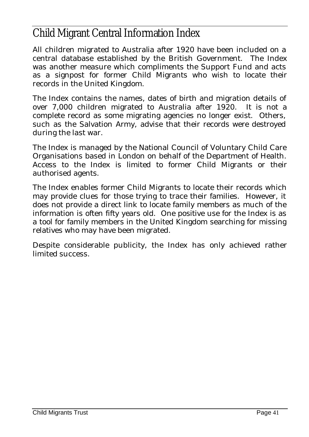#### Child Migrant Central Information Index

All children migrated to Australia after 1920 have been included on a central database established by the British Government. The Index was another measure which compliments the Support Fund and acts as a signpost for former Child Migrants who wish to locate their records in the United Kingdom.

The Index contains the names, dates of birth and migration details of over 7,000 children migrated to Australia after 1920. It is not a complete record as some migrating agencies no longer exist. Others, such as the Salvation Army, advise that their records were destroyed during the last war.

The Index is managed by the National Council of Voluntary Child Care Organisations based in London on behalf of the Department of Health. Access to the Index is limited to former Child Migrants or their authorised agents.

The Index enables former Child Migrants to locate their records which may provide clues for those trying to trace their families. However, it does not provide a direct link to locate family members as much of the information is often fifty years old. One positive use for the Index is as a tool for family members in the United Kingdom searching for missing relatives who may have been migrated.

Despite considerable publicity, the Index has only achieved rather limited success.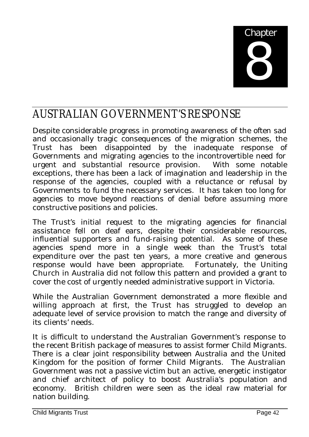

#### AUSTRALIAN GOVERNMENT'S RESPONSE

Despite considerable progress in promoting awareness of the often sad and occasionally tragic consequences of the migration schemes, the Trust has been disappointed by the inadequate response of Governments and migrating agencies to the incontrovertible need for urgent and substantial resource provision. With some notable exceptions, there has been a lack of imagination and leadership in the response of the agencies, coupled with a reluctance or refusal by Governments to fund the necessary services. It has taken too long for agencies to move beyond reactions of denial before assuming more constructive positions and policies.

The Trust's initial request to the migrating agencies for financial assistance fell on deaf ears, despite their considerable resources, influential supporters and fund-raising potential. As some of these agencies spend more in a single week than the Trust's total expenditure over the past ten years, a more creative and generous response would have been appropriate. Fortunately, the Uniting Church in Australia did not follow this pattern and provided a grant to cover the cost of urgently needed administrative support in Victoria.

While the Australian Government demonstrated a more flexible and willing approach at first, the Trust has struggled to develop an adequate level of service provision to match the range and diversity of its clients' needs.

It is difficult to understand the Australian Government's response to the recent British package of measures to assist former Child Migrants. There is a clear joint responsibility between Australia and the United Kingdom for the position of former Child Migrants. The Australian Government was not a passive victim but an active, energetic instigator and chief architect of policy to boost Australia's population and economy. British children were seen as the ideal raw material for nation building.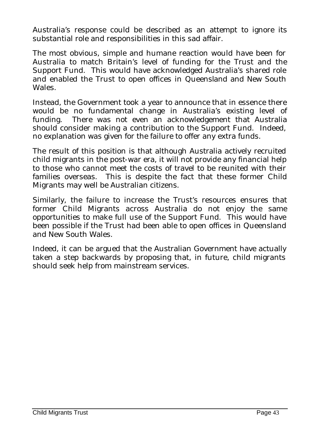Australia's response could be described as an attempt to ignore its substantial role and responsibilities in this sad affair.

The most obvious, simple and humane reaction would have been for Australia to match Britain's level of funding for the Trust and the Support Fund. This would have acknowledged Australia's shared role and enabled the Trust to open offices in Queensland and New South Wales.

Instead, the Government took a year to announce that in essence there would be no fundamental change in Australia's existing level of funding. There was not even an acknowledgement that Australia should consider making a contribution to the Support Fund. Indeed, no explanation was given for the failure to offer any extra funds.

The result of this position is that although Australia actively recruited child migrants in the post-war era, it will not provide any financial help to those who cannot meet the costs of travel to be reunited with their families overseas. This is despite the fact that these former Child Migrants may well be Australian citizens.

Similarly, the failure to increase the Trust's resources ensures that former Child Migrants across Australia do not enjoy the same opportunities to make full use of the Support Fund. This would have been possible if the Trust had been able to open offices in Queensland and New South Wales.

Indeed, it can be argued that the Australian Government have actually taken a step backwards by proposing that, in future, child migrants should seek help from mainstream services.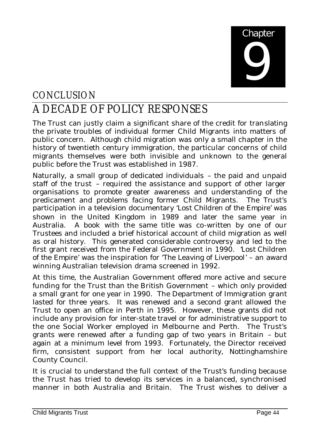

## **CONCLUSION** A DECADE OF POLICY RESPONSES

The Trust can justly claim a significant share of the credit for translating the private troubles of individual former Child Migrants into matters of public concern. Although child migration was only a small chapter in the history of twentieth century immigration, the particular concerns of child migrants themselves were both invisible and unknown to the general public before the Trust was established in 1987.

Naturally, a small group of dedicated individuals – the paid and unpaid staff of the trust – required the assistance and support of other larger organisations to promote greater awareness and understanding of the predicament and problems facing former Child Migrants. The Trust's participation in a television documentary '*Lost Children of the Empire*' was shown in the United Kingdom in 1989 and later the same year in Australia. A book with the same title was co-written by one of our Trustees and included a brief historical account of child migration as well as oral history. This generated considerable controversy and led to the first grant received from the Federal Government in 1990. '*Lost Children of the Empire*' was the inspiration for '*The Leaving of Liverpool*' – an award winning Australian television drama screened in 1992.

At this time, the Australian Government offered more active and secure funding for the Trust than the British Government – which only provided a small grant for one year in 1990. The Department of Immigration grant lasted for three years. It was renewed and a second grant allowed the Trust to open an office in Perth in 1995. However, these grants did not include any provision for inter-state travel or for administrative support to the one Social Worker employed in Melbourne and Perth. The Trust's grants were renewed after a funding gap of two years in Britain – but again at a minimum level from 1993. Fortunately, the Director received firm, consistent support from her local authority, Nottinghamshire County Council.

It is crucial to understand the full context of the Trust's funding because the Trust has tried to develop its services in a balanced, synchronised manner in both Australia and Britain. The Trust wishes to deliver a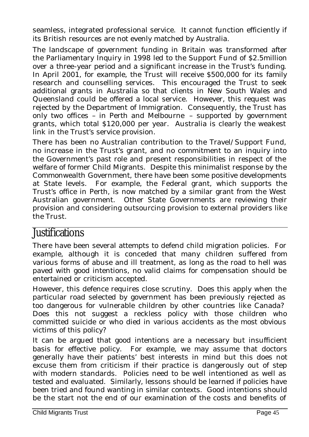seamless, integrated professional service. It cannot function efficiently if its British resources are not evenly matched by Australia.

The landscape of government funding in Britain was transformed after the Parliamentary Inquiry in 1998 led to the Support Fund of \$2.5million over a three-year period and a significant increase in the Trust's funding. In April 2001, for example, the Trust will receive \$500,000 for its family research and counselling services. This encouraged the Trust to seek additional grants in Australia so that clients in New South Wales and Queensland could be offered a local service. However, this request was rejected by the Department of Immigration. Consequently, the Trust has only two offices – in Perth and Melbourne – supported by government grants, which total \$120,000 per year. Australia is clearly the weakest link in the Trust's service provision.

There has been no Australian contribution to the Travel/Support Fund, no increase in the Trust's grant, and no commitment to an inquiry into the Government's past role and present responsibilities in respect of the welfare of former Child Migrants. Despite this minimalist response by the Commonwealth Government, there have been some positive developments at State levels. For example, the Federal grant, which supports the Trust's office in Perth, is now matched by a similar grant from the West Australian government. Other State Governments are reviewing their provision and considering outsourcing provision to external providers like the Trust.

#### **Justifications**

There have been several attempts to defend child migration policies. For example, although it is conceded that many children suffered from various forms of abuse and ill treatment, as long as the road to hell was paved with good intentions, no valid claims for compensation should be entertained or criticism accepted.

However, this defence requires close scrutiny. Does this apply when the particular road selected by government has been previously rejected as too dangerous for vulnerable children by other countries like Canada? Does this not suggest a reckless policy with those children who committed suicide or who died in various accidents as the most obvious victims of this policy?

It can be argued that good intentions are a necessary but insufficient basis for effective policy. For example, we may assume that doctors generally have their patients' best interests in mind but this does not excuse them from criticism if their practice is dangerously out of step with modern standards. Policies need to be well intentioned as well as tested and evaluated. Similarly, lessons should be learned if policies have been tried and found wanting in similar contexts. Good intentions should be the start not the end of our examination of the costs and benefits of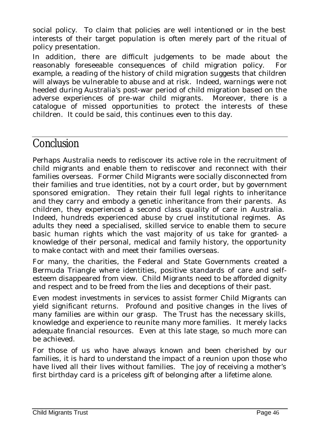social policy. To claim that policies are well intentioned or in the best interests of their target population is often merely part of the ritual of policy presentation.

In addition, there are difficult judgements to be made about the reasonably foreseeable consequences of child migration policy. For example, a reading of the history of child migration suggests that children will always be vulnerable to abuse and at risk. Indeed, warnings were not heeded during Australia's post-war period of child migration based on the adverse experiences of pre-war child migrants. Moreover, there is a catalogue of missed opportunities to protect the interests of these children. It could be said, this continues even to this day.

#### **Conclusion**

Perhaps Australia needs to rediscover its active role in the recruitment of child migrants and enable them to rediscover and reconnect with their families overseas. Former Child Migrants were socially disconnected from their families and true identities, not by a court order, but by government sponsored emigration. They retain their full legal rights to inheritance and they carry and embody a genetic inheritance from their parents. As children, they experienced a second class quality of care in Australia. Indeed, hundreds experienced abuse by cruel institutional regimes. As adults they need a specialised, skilled service to enable them to secure basic human rights which the vast majority of us take for granted- a knowledge of their personal, medical and family history, the opportunity to make contact with and meet their families overseas.

For many, the charities, the Federal and State Governments created a Bermuda Triangle where identities, positive standards of care and selfesteem disappeared from view. Child Migrants need to be afforded dignity and respect and to be freed from the lies and deceptions of their past.

Even modest investments in services to assist former Child Migrants can yield significant returns. Profound and positive changes in the lives of many families are within our grasp. The Trust has the necessary skills, knowledge and experience to reunite many more families. It merely lacks adequate financial resources. Even at this late stage, so much more can be achieved.

For those of us who have always known and been cherished by our families, it is hard to understand the impact of a reunion upon those who have lived all their lives without families. The joy of receiving a mother's first birthday card is a priceless gift of belonging after a lifetime alone.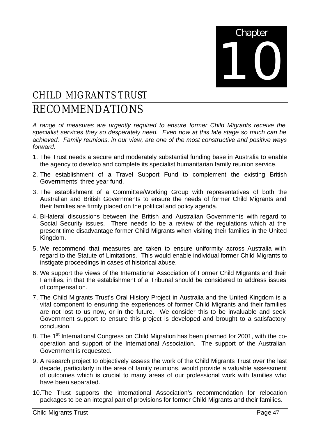

## CHILD MIGRANTS TRUST

#### RECOMMENDATIONS

*A range of measures are urgently required to ensure former Child Migrants receive the specialist services they so desperately need. Even now at this late stage so much can be achieved. Family reunions, in our view, are one of the most constructive and positive ways forward.*

- 1. The Trust needs a secure and moderately substantial funding base in Australia to enable the agency to develop and complete its specialist humanitarian family reunion service.
- 2. The establishment of a Travel Support Fund to complement the existing British Governments' three year fund.
- 3. The establishment of a Committee/Working Group with representatives of both the Australian and British Governments to ensure the needs of former Child Migrants and their families are firmly placed on the political and policy agenda.
- 4. Bi-lateral discussions between the British and Australian Governments with regard to Social Security issues. There needs to be a review of the regulations which at the present time disadvantage former Child Migrants when visiting their families in the United Kingdom.
- 5. We recommend that measures are taken to ensure uniformity across Australia with regard to the Statute of Limitations. This would enable individual former Child Migrants to instigate proceedings in cases of historical abuse.
- 6. We support the views of the International Association of Former Child Migrants and their Families, in that the establishment of a Tribunal should be considered to address issues of compensation.
- 7. The Child Migrants Trust's Oral History Project in Australia and the United Kingdom is a vital component to ensuring the experiences of former Child Migrants and their families are not lost to us now, or in the future. We consider this to be invaluable and seek Government support to ensure this project is developed and brought to a satisfactory conclusion.
- 8. The 1<sup>st</sup> International Congress on Child Migration has been planned for 2001, with the cooperation and support of the International Association. The support of the Australian Government is requested.
- 9. A research project to objectively assess the work of the Child Migrants Trust over the last decade, particularly in the area of family reunions, would provide a valuable assessment of outcomes which is crucial to many areas of our professional work with families who have been separated.
- 10.The Trust supports the International Association's recommendation for relocation packages to be an integral part of provisions for former Child Migrants and their families.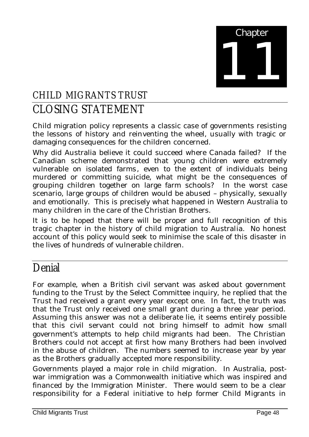

### CHILD MIGRANTS TRUST CLOSING STATEMENT

Child migration policy represents a classic case of governments resisting the lessons of history and reinventing the wheel, usually with tragic or damaging consequences for the children concerned.

Why did Australia believe it could succeed where Canada failed? If the Canadian scheme demonstrated that young children were extremely vulnerable on isolated farms, even to the extent of individuals being murdered or committing suicide, what might be the consequences of grouping children together on large farm schools? In the worst case scenario, large groups of children would be abused – physically, sexually and emotionally. This is precisely what happened in Western Australia to many children in the care of the Christian Brothers.

It is to be hoped that there will be proper and full recognition of this tragic chapter in the history of child migration to Australia. No honest account of this policy would seek to minimise the scale of this disaster in the lives of hundreds of vulnerable children.

#### Denial

For example, when a British civil servant was asked about government funding to the Trust by the Select Committee inquiry, he replied that the Trust had received a grant every year except one. In fact, the truth was that the Trust only received one small grant during a three year period. Assuming this answer was not a deliberate lie, it seems entirely possible that this civil servant could not bring himself to admit how small government's attempts to help child migrants had been. The Christian Brothers could not accept at first how many Brothers had been involved in the abuse of children. The numbers seemed to increase year by year as the Brothers gradually accepted more responsibility.

Governments played a major role in child migration. In Australia, postwar immigration was a Commonwealth initiative which was inspired and financed by the Immigration Minister. There would seem to be a clear responsibility for a Federal initiative to help former Child Migrants in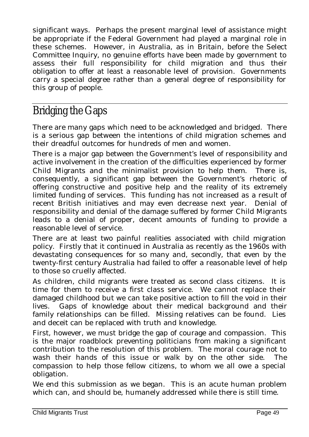significant ways. Perhaps the present marginal level of assistance might be appropriate if the Federal Government had played a marginal role in these schemes. However, in Australia, as in Britain, before the Select Committee Inquiry, no genuine efforts have been made by government to assess their full responsibility for child migration and thus their obligation to offer at least a reasonable level of provision. Governments carry a special degree rather than a general degree of responsibility for this group of people.

## Bridging the Gaps

There are many gaps which need to be acknowledged and bridged. There is a serious gap between the intentions of child migration schemes and their dreadful outcomes for hundreds of men and women.

There is a major gap between the Government's level of responsibility and active involvement in the creation of the difficulties experienced by former Child Migrants and the minimalist provision to help them. There is, consequently, a significant gap between the Government's rhetoric of offering constructive and positive help and the reality of its extremely limited funding of services. This funding has not increased as a result of recent British initiatives and may even decrease next year. Denial of responsibility and denial of the damage suffered by former Child Migrants leads to a denial of proper, decent amounts of funding to provide a reasonable level of service.

There are at least two painful realities associated with child migration policy. Firstly that it continued in Australia as recently as the 1960s with devastating consequences for so many and, secondly, that even by the twenty-first century Australia had failed to offer a reasonable level of help to those so cruelly affected.

As children, child migrants were treated as second class citizens. It is time for them to receive a first class service. We cannot replace their damaged childhood but we can take positive action to fill the void in their lives. Gaps of knowledge about their medical background and their family relationships can be filled. Missing relatives can be found. Lies and deceit can be replaced with truth and knowledge.

First, however, we must bridge the gap of courage and compassion. This is the major roadblock preventing politicians from making a significant contribution to the resolution of this problem. The moral courage not to wash their hands of this issue or walk by on the other side. The compassion to help those fellow citizens, to whom we all owe a special obligation.

We end this submission as we began. This is an acute human problem which can, and should be, humanely addressed while there is still time.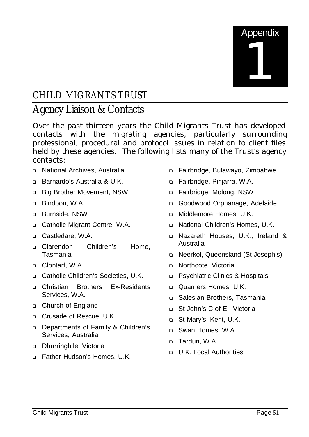

## CHILD MIGRANTS TRUST

#### Agency Liaison & Contacts

Over the past thirteen years the Child Migrants Trust has developed contacts with the migrating agencies, particularly surrounding professional, procedural and protocol issues in relation to client files held by these agencies. The following lists many of the Trust's agency contacts:

- <sup>q</sup> National Archives, Australia
- □ Barnardo's Australia & U.K.
- <sup>q</sup> Big Brother Movement, NSW
- <sup>q</sup> Bindoon, W.A.
- <sup>q</sup> Burnside, NSW
- <sup>q</sup> Catholic Migrant Centre, W.A.
- <sup>q</sup> Castledare, W.A.
- <sup>q</sup> Clarendon Children's Home, Tasmania
- <sup>q</sup> Clontarf, W.A.
- □ Catholic Children's Societies, U.K.
- <sup>q</sup> Christian Brothers Ex-Residents Services, W.A.
- <sup>q</sup> Church of England
- <sup>q</sup> Crusade of Rescue, U.K.
- <sup>q</sup> Departments of Family & Children's Services, Australia
- <sup>q</sup> Dhurringhile, Victoria
- □ Father Hudson's Homes, U.K.
- <sup>q</sup> Fairbridge, Bulawayo, Zimbabwe
- <sup>q</sup> Fairbridge, Pinjarra, W.A.
- <sup>q</sup> Fairbridge, Molong, NSW
- <sup>q</sup> Goodwood Orphanage, Adelaide
- <sup>q</sup> Middlemore Homes, U.K.
- <sup>q</sup> National Children's Homes, U.K.
- <sup>q</sup> Nazareth Houses, U.K., Ireland & Australia
- <sup>q</sup> Neerkol, Queensland (St Joseph's)
- <sup>q</sup> Northcote, Victoria
- <sup>q</sup> Psychiatric Clinics & Hospitals
- **Quarriers Homes, U.K.**
- <sup>q</sup> Salesian Brothers, Tasmania
- <sup>q</sup> St John's C.of E., Victoria
- <sup>q</sup> St Mary's, Kent, U.K.
- □ Swan Homes, W.A.
- □ Tardun, W.A.
- <sup>q</sup> U.K. Local Authorities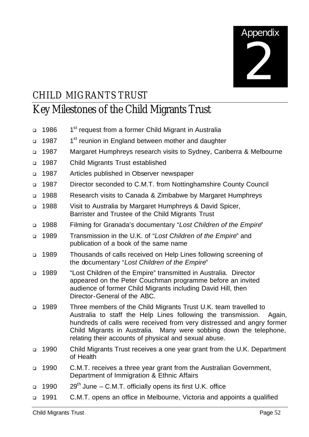

### CHILD MIGRANTS TRUST

## Key Milestones of the Child Migrants Trust

| $\Box$ | 1986 | 1 <sup>st</sup> request from a former Child Migrant in Australia                                                                                                                                                                                                                                                                                    |
|--------|------|-----------------------------------------------------------------------------------------------------------------------------------------------------------------------------------------------------------------------------------------------------------------------------------------------------------------------------------------------------|
| $\Box$ | 1987 | 1 <sup>st</sup> reunion in England between mother and daughter                                                                                                                                                                                                                                                                                      |
| $\Box$ | 1987 | Margaret Humphreys research visits to Sydney, Canberra & Melbourne                                                                                                                                                                                                                                                                                  |
| $\Box$ | 1987 | <b>Child Migrants Trust established</b>                                                                                                                                                                                                                                                                                                             |
| $\Box$ | 1987 | Articles published in Observer newspaper                                                                                                                                                                                                                                                                                                            |
| $\Box$ | 1987 | Director seconded to C.M.T. from Nottinghamshire County Council                                                                                                                                                                                                                                                                                     |
| $\Box$ | 1988 | Research visits to Canada & Zimbabwe by Margaret Humphreys                                                                                                                                                                                                                                                                                          |
| $\Box$ | 1988 | Visit to Australia by Margaret Humphreys & David Spicer,<br>Barrister and Trustee of the Child Migrants Trust                                                                                                                                                                                                                                       |
| $\Box$ | 1988 | Filming for Granada's documentary "Lost Children of the Empire"                                                                                                                                                                                                                                                                                     |
| $\Box$ | 1989 | Transmission in the U.K. of "Lost Children of the Empire" and<br>publication of a book of the same name                                                                                                                                                                                                                                             |
| $\Box$ | 1989 | Thousands of calls received on Help Lines following screening of<br>the documentary "Lost Children of the Empire"                                                                                                                                                                                                                                   |
| $\Box$ | 1989 | "Lost Children of the Empire" transmitted in Australia. Director<br>appeared on the Peter Couchman programme before an invited<br>audience of former Child Migrants including David Hill, then<br>Director-General of the ABC.                                                                                                                      |
| $\Box$ | 1989 | Three members of the Child Migrants Trust U.K. team travelled to<br>Australia to staff the Help Lines following the transmission.<br>Again,<br>hundreds of calls were received from very distressed and angry former<br>Child Migrants in Australia. Many were sobbing down the telephone,<br>relating their accounts of physical and sexual abuse. |
| $\Box$ | 1990 | Child Migrants Trust receives a one year grant from the U.K. Department<br>of Health                                                                                                                                                                                                                                                                |
| $\Box$ | 1990 | C.M.T. receives a three year grant from the Australian Government,<br>Department of Immigration & Ethnic Affairs                                                                                                                                                                                                                                    |
| $\Box$ | 1990 | $29th$ June – C.M.T. officially opens its first U.K. office                                                                                                                                                                                                                                                                                         |
| ❏      | 1991 | C.M.T. opens an office in Melbourne, Victoria and appoints a qualified                                                                                                                                                                                                                                                                              |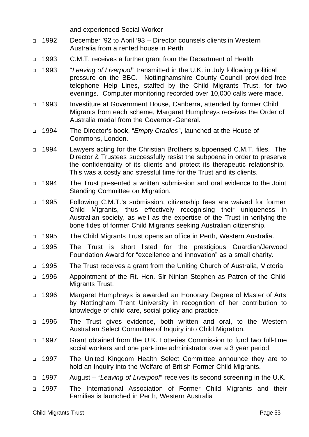and experienced Social Worker

- <sup>q</sup> 1992 December '92 to April '93 Director counsels clients in Western Australia from a rented house in Perth
- <sup>q</sup> 1993 C.M.T. receives a further grant from the Department of Health
- <sup>q</sup> 1993 "*Leaving of Liverpool*" transmitted in the U.K. in July following political pressure on the BBC. Nottinghamshire County Council provi ded free telephone Help Lines, staffed by the Child Migrants Trust, for two evenings. Computer monitoring recorded over 10,000 calls were made.
- <sup>q</sup> 1993 Investiture at Government House, Canberra, attended by former Child Migrants from each scheme, Margaret Humphreys receives the Order of Australia medal from the Governor-General.
- <sup>q</sup> 1994 The Director's book, "*Empty Cradles*", launched at the House of Commons, London.
- <sup>q</sup> 1994 Lawyers acting for the Christian Brothers subpoenaed C.M.T. files. The Director & Trustees successfully resist the subpoena in order to preserve the confidentiality of its clients and protect its therapeutic relationship. This was a costly and stressful time for the Trust and its clients.
- <sup>q</sup> 1994 The Trust presented a written submission and oral evidence to the Joint Standing Committee on Migration.
- <sup>q</sup> 1995 Following C.M.T.'s submission, citizenship fees are waived for former Child Migrants, thus effectively recognising their uniqueness in Australian society, as well as the expertise of the Trust in verifying the bone fides of former Child Migrants seeking Australian citizenship.
- <sup>q</sup> 1995 The Child Migrants Trust opens an office in Perth, Western Australia.
- <sup>q</sup> 1995 The Trust is short listed for the prestigious Guardian/Jerwood Foundation Award for "excellence and innovation" as a small charity.
- <sup>q</sup> 1995 The Trust receives a grant from the Uniting Church of Australia, Victoria
- <sup>q</sup> 1996 Appointment of the Rt. Hon. Sir Ninian Stephen as Patron of the Child Migrants Trust.
- <sup>q</sup> 1996 Margaret Humphreys is awarded an Honorary Degree of Master of Arts by Nottingham Trent University in recognition of her contribution to knowledge of child care, social policy and practice.
- <sup>q</sup> 1996 The Trust gives evidence, both written and oral, to the Western Australian Select Committee of Inquiry into Child Migration.
- <sup>q</sup> 1997 Grant obtained from the U.K. Lotteries Commission to fund two full-time social workers and one part-time administrator over a 3 year period.
- <sup>q</sup> 1997 The United Kingdom Health Select Committee announce they are to hold an Inquiry into the Welfare of British Former Child Migrants.
- <sup>q</sup> 1997 August "*Leaving of Liverpool*" receives its second screening in the U.K.
- <sup>q</sup> 1997 The International Association of Former Child Migrants and their Families is launched in Perth, Western Australia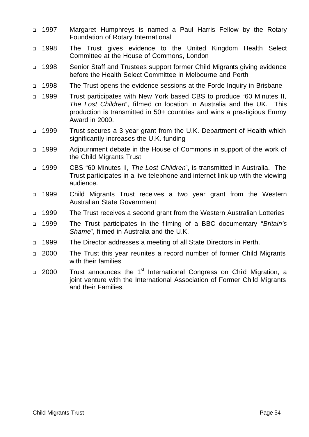- <sup>q</sup> 1997 Margaret Humphreys is named a Paul Harris Fellow by the Rotary Foundation of Rotary International
- <sup>q</sup> 1998 The Trust gives evidence to the United Kingdom Health Select Committee at the House of Commons, London
- <sup>q</sup> 1998 Senior Staff and Trustees support former Child Migrants giving evidence before the Health Select Committee in Melbourne and Perth
- <sup>q</sup> 1998 The Trust opens the evidence sessions at the Forde Inquiry in Brisbane
- <sup>q</sup> 1999 Trust participates with New York based CBS to produce "60 Minutes II, *The Lost Children*", filmed on location in Australia and the UK. This production is transmitted in 50+ countries and wins a prestigious Emmy Award in 2000.
- <sup>q</sup> 1999 Trust secures a 3 year grant from the U.K. Department of Health which significantly increases the U.K. funding
- <sup>q</sup> 1999 Adjournment debate in the House of Commons in support of the work of the Child Migrants Trust
- <sup>q</sup> 1999 CBS "60 Minutes II, *The Lost Children*", is transmitted in Australia. The Trust participates in a live telephone and internet link-up with the viewing audience.
- <sup>q</sup> 1999 Child Migrants Trust receives a two year grant from the Western Australian State Government
- <sup>q</sup> 1999 The Trust receives a second grant from the Western Australian Lotteries
- <sup>q</sup> 1999 The Trust participates in the filming of a BBC documentary "*Britain's Shame*", filmed in Australia and the U.K.
- <sup>q</sup> 1999 The Director addresses a meeting of all State Directors in Perth.
- <sup>q</sup> 2000 The Trust this year reunites a record number of former Child Migrants with their families
- □ 2000 Trust announces the 1<sup>st</sup> International Congress on Child Migration, a joint venture with the International Association of Former Child Migrants and their Families.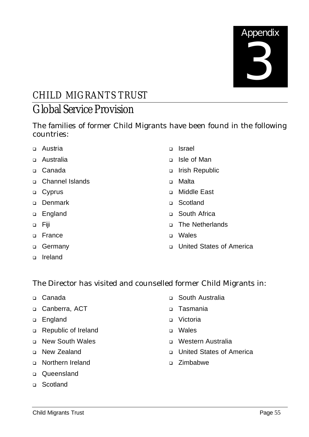

#### CHILD MIGRANTS TRUST Global Service Provision

The families of former Child Migrants have been found in the following countries:

- □ Austria
- <sup>q</sup> Australia
- <sup>q</sup> Canada
- <sup>q</sup> Channel Islands
- □ Cyprus
- <sup>q</sup> Denmark
- <sup>q</sup> England
- <sup>q</sup> Fiji
- <sup>q</sup> France
- □ Germany
- <sup>q</sup> Ireland
- <sup>q</sup> Israel
- <sup>q</sup> Isle of Man
- <sup>q</sup> Irish Republic
- <sup>q</sup> Malta
- <sup>q</sup> Middle East
- <sup>q</sup> Scotland
- <sup>q</sup> South Africa
- <sup>q</sup> The Netherlands
- <sup>q</sup> Wales
- <sup>q</sup> United States of America

The Director has visited and counselled former Child Migrants in:

- <sup>q</sup> Canada
- <sup>q</sup> Canberra, ACT
- □ England
- <sup>q</sup> Republic of Ireland
- <sup>q</sup> New South Wales
- <sup>q</sup> New Zealand
- <sup>q</sup> Northern Ireland
- <sup>q</sup> Queensland
- <sup>q</sup> Scotland
- <sup>q</sup> South Australia
- <sup>q</sup> Tasmania
- <sup>q</sup> Victoria
- <sup>q</sup> Wales
- <sup>q</sup> Western Australia
- <sup>q</sup> United States of America
- <sup>q</sup> Zimbabwe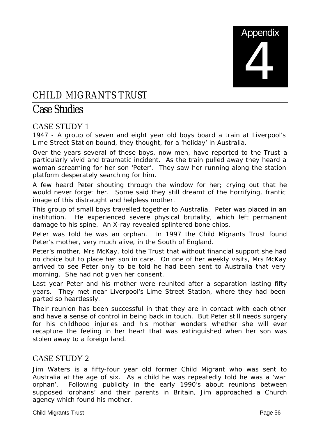

#### CHILD MIGRANTS TRUST

#### Case Studies

#### CASE STUDY 1

1947 - A group of seven and eight year old boys board a train at Liverpool's Lime Street Station bound, they thought, for a 'holiday' in Australia.

Over the years several of these boys, now men, have reported to the Trust a particularly vivid and traumatic incident. As the train pulled away they heard a woman screaming for her son 'Peter'. They saw her running along the station platform desperately searching for him.

A few heard Peter shouting through the window for her; crying out that he would never forget her. Some said they still dreamt of the horrifying, frantic image of this distraught and helpless mother.

This group of small boys travelled together to Australia. Peter was placed in an institution. He experienced severe physical brutality, which left permanent damage to his spine. An X-ray revealed splintered bone chips.

Peter was told he was an orphan. In 1997 the Child Migrants Trust found Peter's mother, very much alive, in the South of England.

Peter's mother, Mrs McKay, told the Trust that without financial support she had no choice but to place her son in care. On one of her weekly visits, Mrs McKay arrived to see Peter only to be told he had been sent to Australia that very morning. She had not given her consent.

Last year Peter and his mother were reunited after a separation lasting fifty years. They met near Liverpool's Lime Street Station, where they had been parted so heartlessly.

Their reunion has been successful in that they are in contact with each other and have a sense of control in being back in touch. But Peter still needs surgery for his childhood injuries and his mother wonders whether she will ever recapture the feeling in her heart that was extinguished when her son was stolen away to a foreign land.

#### CASE STUDY 2

Jim Waters is a fifty-four year old former Child Migrant who was sent to Australia at the age of six. As a child he was repeatedly told he was a 'war orphan'. Following publicity in the early 1990's about reunions between supposed 'orphans' and their parents in Britain, Jim approached a Church agency which found his mother.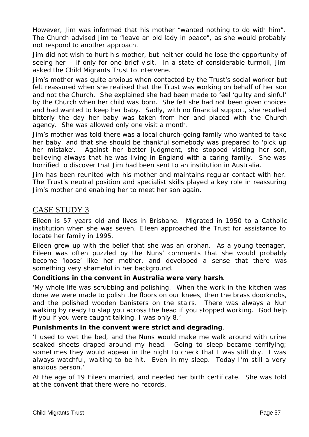However, Jim was informed that his mother "wanted nothing to do with him". The Church advised Jim to "leave an old lady in peace", as she would probably not respond to another approach.

Jim did not wish to hurt his mother, but neither could he lose the opportunity of seeing her – if only for one brief visit. In a state of considerable turmoil, Jim asked the Child Migrants Trust to intervene.

Jim's mother was quite anxious when contacted by the Trust's social worker but felt reassured when she realised that the Trust was working on behalf of her son and not the Church. She explained she had been made to feel 'guilty and sinful' by the Church when her child was born. She felt she had not been given choices and had wanted to keep her baby. Sadly, with no financial support, she recalled bitterly the day her baby was taken from her and placed with the Church agency. She was allowed only one visit a month.

Jim's mother was told there was a local church-going family who wanted to take her baby, and that she should be thankful somebody was prepared to 'pick up her mistake'. Against her better judgment, she stopped visiting her son, believing always that he was living in England with a caring family. She was horrified to discover that Jim had been sent to an institution in Australia.

Jim has been reunited with his mother and maintains regular contact with her. The Trust's neutral position and specialist skills played a key role in reassuring Jim's mother and enabling her to meet her son again.

#### CASE STUDY 3

Eileen is 57 years old and lives in Brisbane. Migrated in 1950 to a Catholic institution when she was seven, Eileen approached the Trust for assistance to locate her family in 1995.

Eileen grew up with the belief that she was an orphan. As a young teenager, Eileen was often puzzled by the Nuns' comments that she would probably become 'loose' like her mother, and developed a sense that there was something very shameful in her background.

#### **Conditions in the convent in Australia were very harsh**.

*'My whole life was scrubbing and polishing. When the work in the kitchen was done we were made to polish the floors on our knees, then the brass doorknobs, and the polished wooden banisters on the stairs. There was always a Nun* walking by ready to slap you across the head if you stopped working. God help *if you if you were caught talking. I was only 8.'*

#### **Punishments in the convent were strict and degrading**.

*'I used to wet the bed, and the Nuns would make me walk around with urine soaked sheets draped around my head. Going to sleep became terrifying; sometimes they would appear in the night to check that I was still dry. I was always watchful, waiting to be hit. Even in my sleep. Today I'm still a very anxious person.'*

At the age of 19 Eileen married, and needed her birth certificate. She was told at the convent that there were no records.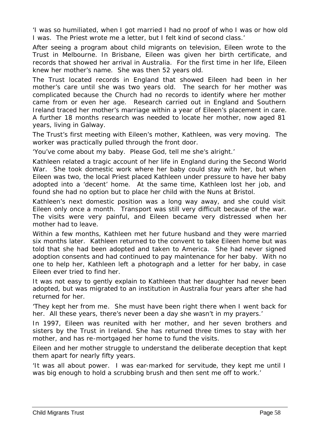*'I was so humiliated, when I got married I had no proof of who I was or how old I was. The Priest wrote me a letter, but I felt kind of second class.'*

After seeing a program about child migrants on television, Eileen wrote to the Trust in Melbourne. In Brisbane, Eileen was given her birth certificate, and records that showed her arrival in Australia. For the first time in her life, Eileen knew her mother's name. She was then 52 years old.

The Trust located records in England that showed Eileen had been in her mother's care until she was two years old. The search for her mother was complicated because the Church had no records to identify where her mother came from or even her age. Research carried out in England and Southern Ireland traced her mother's marriage within a year of Eileen's placement in care. A further 18 months research was needed to locate her mother, now aged 81 years, living in Galway.

The Trust's first meeting with Eileen's mother, Kathleen, was very moving. The worker was practically pulled through the front door.

*'You've come about my baby. Please God, tell me she's alright.'*

Kathleen related a tragic account of her life in England during the Second World War. She took domestic work where her baby could stay with her, but when Eileen was two, the local Priest placed Kathleen under pressure to have her baby adopted into a 'decent' home. At the same time, Kathleen lost her job, and found she had no option but to place her child with the Nuns at Bristol.

Kathleen's next domestic position was a long way away, and she could visit Eileen only once a month. Transport was still very difficult because of the war. The visits were very painful, and Eileen became very distressed when her mother had to leave.

Within a few months, Kathleen met her future husband and they were married six months later. Kathleen returned to the convent to take Eileen home but was told that she had been adopted and taken to America. She had never signed adoption consents and had continued to pay maintenance for her baby. With no one to help her, Kathleen left a photograph and a letter for her baby, in case Eileen ever tried to find her.

It was not easy to gently explain to Kathleen that her daughter had never been adopted, but was migrated to an institution in Australia four years after she had returned for her.

*'They kept her from me. She must have been right there when I went back for her. All these years, there's never been a day she wasn't in my prayers.'*

In 1997, Eileen was reunited with her mother, and her seven brothers and sisters by the Trust in Ireland. She has returned three times to stay with her mother, and has re-mortgaged her home to fund the visits.

Eileen and her mother struggle to understand the deliberate deception that kept them apart for nearly fifty years.

*'It was all about power. I was ear-marked for servitude, they kept me until I was big enough to hold a scrubbing brush and then sent me off to work.'*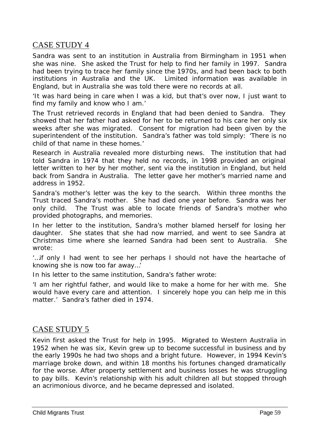#### CASE STUDY 4

Sandra was sent to an institution in Australia from Birmingham in 1951 when she was nine. She asked the Trust for help to find her family in 1997. Sandra had been trying to trace her family since the 1970s, and had been back to both institutions in Australia and the UK. Limited information was available in England, but in Australia she was told there were no records at all.

*'It was hard being in care when I was a kid, but that's over now, I just want to find my family and know who I am.'*

The Trust retrieved records in England that had been denied to Sandra. They showed that her father had asked for her to be returned to his care her only six weeks after she was migrated. Consent for migration had been given by the superintendent of the institution. Sandra's father was told simply: *'There is no child of that name in these homes.'*

Research in Australia revealed more disturbing news. The institution that had told Sandra in 1974 that they held no records, in 1998 provided an original letter written to her by her mother, sent via the institution in England, but held back from Sandra in Australia. The letter gave her mother's married name and address in 1952.

Sandra's mother's letter was the key to the search. Within three months the Trust traced Sandra's mother. She had died one year before. Sandra was her only child. The Trust was able to locate friends of Sandra's mother who provided photographs, and memories.

In her letter to the institution, Sandra's mother blamed herself for losing her daughter. She states that she had now married, and went to see Sandra at Christmas time where she learned Sandra had been sent to Australia. She wrote:

*'…if only I had went to see her perhaps I should not have the heartache of knowing she is now too far away…'*

In his letter to the same institution, Sandra's father wrote:

*'I am her rightful father, and would like to make a home for her with me. She would have every care and attention. I sincerely hope you can help me in this matter.'* Sandra's father died in 1974.

#### CASE STUDY 5

Kevin first asked the Trust for help in 1995. Migrated to Western Australia in 1952 when he was six, Kevin grew up to become successful in business and by the early 1990s he had two shops and a bright future. However, in 1994 Kevin's marriage broke down, and within 18 months his fortunes changed dramatically for the worse. After property settlement and business losses he was struggling to pay bills. Kevin's relationship with his adult children all but stopped through an acrimonious divorce, and he became depressed and isolated.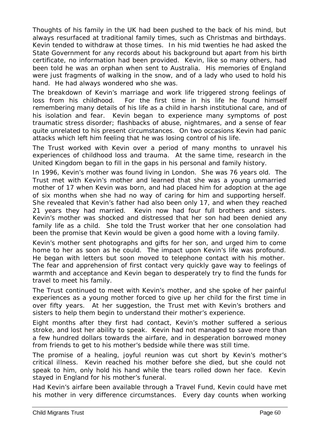Thoughts of his family in the UK had been pushed to the back of his mind, but always resurfaced at traditional family times, such as Christmas and birthdays. Kevin tended to withdraw at those times. In his mid twenties he had asked the State Government for any records about his background but apart from his birth certificate, no information had been provided. Kevin, like so many others, had been told he was an orphan when sent to Australia. His memories of England were just fragments of walking in the snow, and of a lady who used to hold his hand. He had always wondered who she was.

The breakdown of Kevin's marriage and work life triggered strong feelings of loss from his childhood. For the first time in his life he found himself remembering many details of his life as a child in harsh institutional care, and of his isolation and fear. Kevin began to experience many symptoms of post traumatic stress disorder; flashbacks of abuse, nightmares, and a sense of fear quite unrelated to his present circumstances. On two occasions Kevin had panic attacks which left him feeling that he was losing control of his life.

The Trust worked with Kevin over a period of many months to unravel his experiences of childhood loss and trauma. At the same time, research in the United Kingdom began to fill in the gaps in his personal and family history.

In 1996, Kevin's mother was found living in London. She was 76 years old. The Trust met with Kevin's mother and learned that she was a young unmarried mother of 17 when Kevin was born, and had placed him for adoption at the age of six months when she had no way of caring for him and supporting herself. She revealed that Kevin's father had also been only 17, and when they reached 21 years they had married. Kevin now had four full brothers and sisters. Kevin's mother was shocked and distressed that her son had been denied any family life as a child. She told the Trust worker that her one consolation had been the promise that Kevin would be given a good home with a loving family.

Kevin's mother sent photographs and gifts for her son, and urged him to come home to her as soon as he could. The impact upon Kevin's life was profound. He began with letters but soon moved to telephone contact with his mother. The fear and apprehension of first contact very quickly gave way to feelings of warmth and acceptance and Kevin began to desperately try to find the funds for travel to meet his family.

The Trust continued to meet with Kevin's mother, and she spoke of her painful experiences as a young mother forced to give up her child for the first time in over fifty years. At her suggestion, the Trust met with Kevin's brothers and sisters to help them begin to understand their mother's experience.

Eight months after they first had contact, Kevin's mother suffered a serious stroke, and lost her ability to speak. Kevin had not managed to save more than a few hundred dollars towards the airfare, and in desperation borrowed money from friends to get to his mother's bedside while there was still time.

The promise of a healing, joyful reunion was cut short by Kevin's mother's critical illness. Kevin reached his mother before she died, but she could not speak to him, only hold his hand while the tears rolled down her face. Kevin stayed in England for his mother's funeral.

Had Kevin's airfare been available through a Travel Fund, Kevin could have met his mother in very difference circumstances. Every day counts when working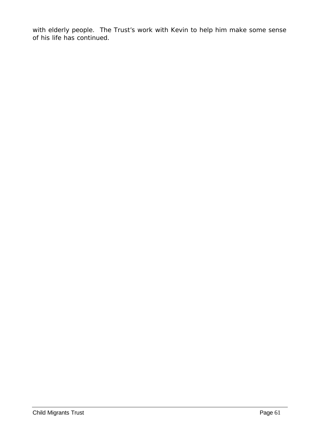with elderly people. The Trust's work with Kevin to help him make some sense of his life has continued.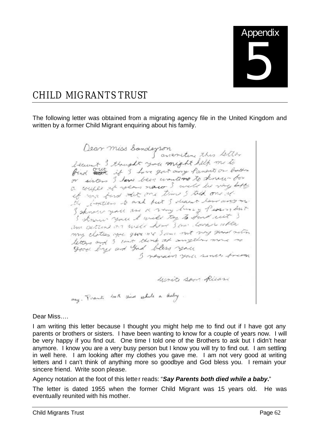

#### CHILD MIGRANTS TRUST

The following letter was obtained from a migrating agency file in the United Kingdom and written by a former Child Migrant enquiring about his family.

Dear miss Sandeyson<br>Isaint 3 thought you might help me to find and if I have got any faments on bother or sisters I love been wontered to know for a couple of years now I will be very loft a couple se was not time & told one of the fortiers to and but I deal last anyone I sknow you are a very best y Person lout Schnau you I will try to Sent wit ? I'm getting on will have San lowers after my clottes you give me I am not my good not letters and 3 cout think at anyther more re ad bless you<br>I nemain you since treen unite san Ricari say. Prents both died while a leaby.

Dear Miss….

I am writing this letter because I thought you might help me to find out if I have got any parents or brothers or sisters. I have been wanting to know for a couple of years now. I will be very happy if you find out. One time I told one of the Brothers to ask but I didn't hear anymore. I know you are a very busy person but I know you will try to find out. I am settling in well here. I am looking after my clothes you gave me. I am not very good at writing letters and I can't think of anything more so goodbye and God bless you. I remain your sincere friend. Write soon please.

Agency notation at the foot of this letter reads: "*Say Parents both died while a baby.*"

The letter is dated 1955 when the former Child Migrant was 15 years old. He was eventually reunited with his mother.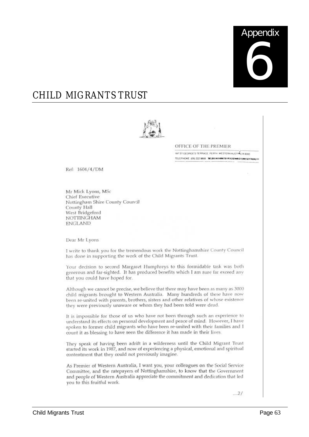

#### CHILD MIGRANTS TRUST



OFFICE OF THE PREMIER

197 ST GEORGE'S TERRACE, PEITH WESTERN AUSTRALIA 6000 TELEPHONE (09) 222 9665 WEBCARDONTE-PACEMALOSMOSONOME

Ref: 1604/4/DM

Mr Mick Lyons, MSc Chief Executive Nottingham Shire County Council County Hall West Bridgeford **NOTTINGHAM ENGLAND** 

Dear Mr Lyons

I write to thank you for the tremendous work the Nottinghamshire County Council has done in supporting the work of the Child Migrants Trust.

Your decision to second Margaret Humphreys to this formidable task was both generous and far-sighted. It has produced benefits which I am sure far exceed any that you could have hoped for.

Although we cannot be precise, we believe that there may have been as many as 3000 child migrants brought to Western Australia. Many hundreds of these have now been re-united with parents, brothers, sisters and other relatives of whose existence they were previously unaware or whom they had been told were dead.

It is impossible for those of us who have not been through such an experience to understand its effects on personal development and peace of mind. However, I have spoken to former child migrants who have been re-united with their families and I count it as blessing to have seen the difference it has made in their lives.

They speak of having been adrift in a wilderness until the Child Migrant Trust started its work in 1987, and now of experiencing a physical, emotional and spiritual contentment that they could not previously imagine.

As Premier of Western Australia, I want you, your colleagues on the Social Service Committee, and the ratepayers of Nottinghamshire, to know that the Government and people of Western Australia appreciate the commitment and dedication that led you to this fruitful work.

 $...21$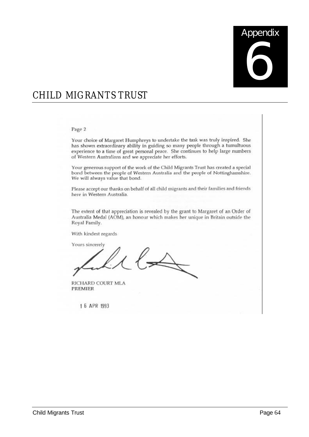# **Appendix** 6

#### CHILD MIGRANTS TRUST

#### Page 2

Your choice of Margaret Humphreys to undertake the task was truly inspired. She has shown extraordinary ability in guiding so many people through a tumultuous experience to a time of great personal peace. She continues to help large numbers of Western Australians and we appreciate her efforts.

Your generous support of the work of the Child Migrants Trust has created a special bond between the people of Western Australia and the people of Nottinghamshire. We will always value that bond.

Please accept our thanks on behalf of all child migrants and their families and friends here in Western Australia.

The extent of that appreciation is revealed by the grant to Margaret of an Order of Australia Medal (AOM), an honour which makes her unique in Britain outside the Royal Family.

With kindest regards

Yours sincerely  $l \rightarrow$ 

RICHARD COURT MLA **PREMIER** 

1 6 APR 1993